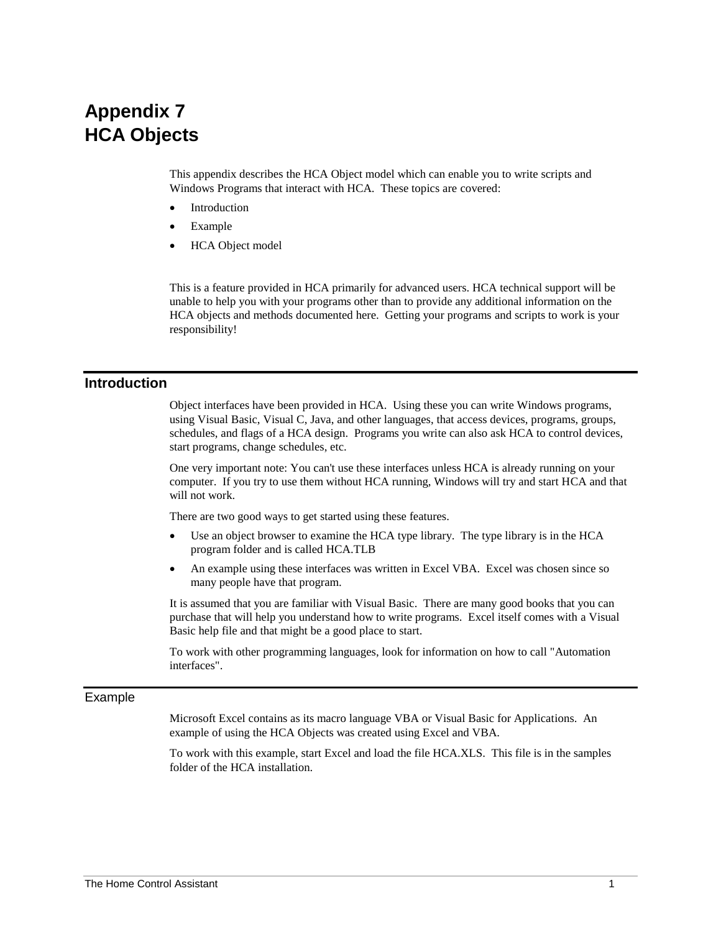# **Appendix 7 HCA Objects**

This appendix describes the HCA Object model which can enable you to write scripts and Windows Programs that interact with HCA. These topics are covered:

- **Introduction**
- **Example**
- HCA Object model

This is a feature provided in HCA primarily for advanced users. HCA technical support will be unable to help you with your programs other than to provide any additional information on the HCA objects and methods documented here. Getting your programs and scripts to work is your responsibility!

## **Introduction**

Object interfaces have been provided in HCA. Using these you can write Windows programs, using Visual Basic, Visual C, Java, and other languages, that access devices, programs, groups, schedules, and flags of a HCA design. Programs you write can also ask HCA to control devices, start programs, change schedules, etc.

One very important note: You can't use these interfaces unless HCA is already running on your computer. If you try to use them without HCA running, Windows will try and start HCA and that will not work.

There are two good ways to get started using these features.

- Use an object browser to examine the HCA type library. The type library is in the HCA program folder and is called HCA.TLB
- An example using these interfaces was written in Excel VBA. Excel was chosen since so many people have that program.

It is assumed that you are familiar with Visual Basic. There are many good books that you can purchase that will help you understand how to write programs. Excel itself comes with a Visual Basic help file and that might be a good place to start.

To work with other programming languages, look for information on how to call "Automation interfaces".

#### Example

Microsoft Excel contains as its macro language VBA or Visual Basic for Applications. An example of using the HCA Objects was created using Excel and VBA.

To work with this example, start Excel and load the file HCA.XLS. This file is in the samples folder of the HCA installation.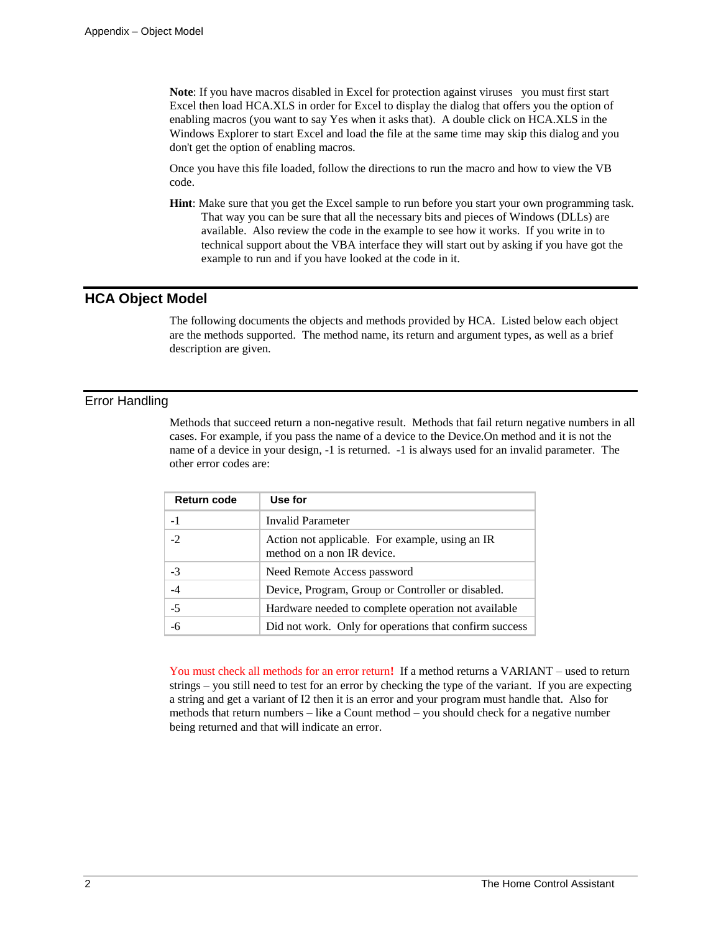**Note**: If you have macros disabled in Excel for protection against viruses you must first start Excel then load HCA.XLS in order for Excel to display the dialog that offers you the option of enabling macros (you want to say Yes when it asks that). A double click on HCA.XLS in the Windows Explorer to start Excel and load the file at the same time may skip this dialog and you don't get the option of enabling macros.

Once you have this file loaded, follow the directions to run the macro and how to view the VB code.

**Hint**: Make sure that you get the Excel sample to run before you start your own programming task. That way you can be sure that all the necessary bits and pieces of Windows (DLLs) are available. Also review the code in the example to see how it works. If you write in to technical support about the VBA interface they will start out by asking if you have got the example to run and if you have looked at the code in it.

## **HCA Object Model**

The following documents the objects and methods provided by HCA. Listed below each object are the methods supported. The method name, its return and argument types, as well as a brief description are given.

## Error Handling

Methods that succeed return a non-negative result. Methods that fail return negative numbers in all cases. For example, if you pass the name of a device to the Device.On method and it is not the name of a device in your design, -1 is returned. -1 is always used for an invalid parameter. The other error codes are:

| Return code | Use for                                                                       |
|-------------|-------------------------------------------------------------------------------|
|             | Invalid Parameter                                                             |
| $-2$        | Action not applicable. For example, using an IR<br>method on a non IR device. |
| $-3$        | Need Remote Access password                                                   |
|             | Device, Program, Group or Controller or disabled.                             |
| $-5$        | Hardware needed to complete operation not available                           |
|             | Did not work. Only for operations that confirm success                        |

You must check all methods for an error return**!** If a method returns a VARIANT – used to return strings – you still need to test for an error by checking the type of the variant. If you are expecting a string and get a variant of I2 then it is an error and your program must handle that. Also for methods that return numbers – like a Count method – you should check for a negative number being returned and that will indicate an error.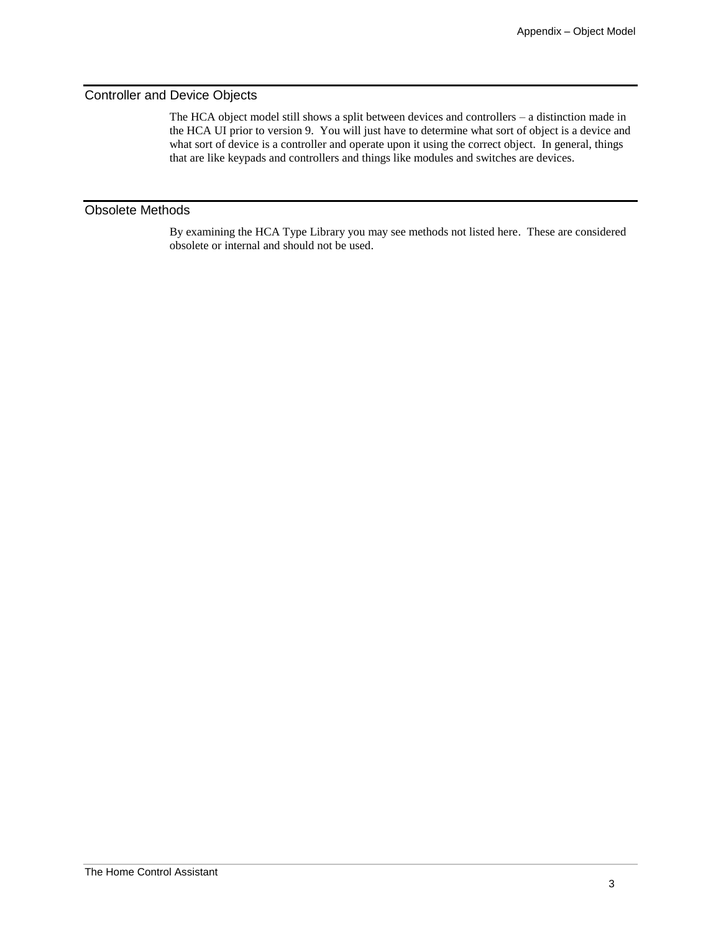#### Controller and Device Objects

The HCA object model still shows a split between devices and controllers – a distinction made in the HCA UI prior to version 9. You will just have to determine what sort of object is a device and what sort of device is a controller and operate upon it using the correct object. In general, things that are like keypads and controllers and things like modules and switches are devices.

### Obsolete Methods

By examining the HCA Type Library you may see methods not listed here. These are considered obsolete or internal and should not be used.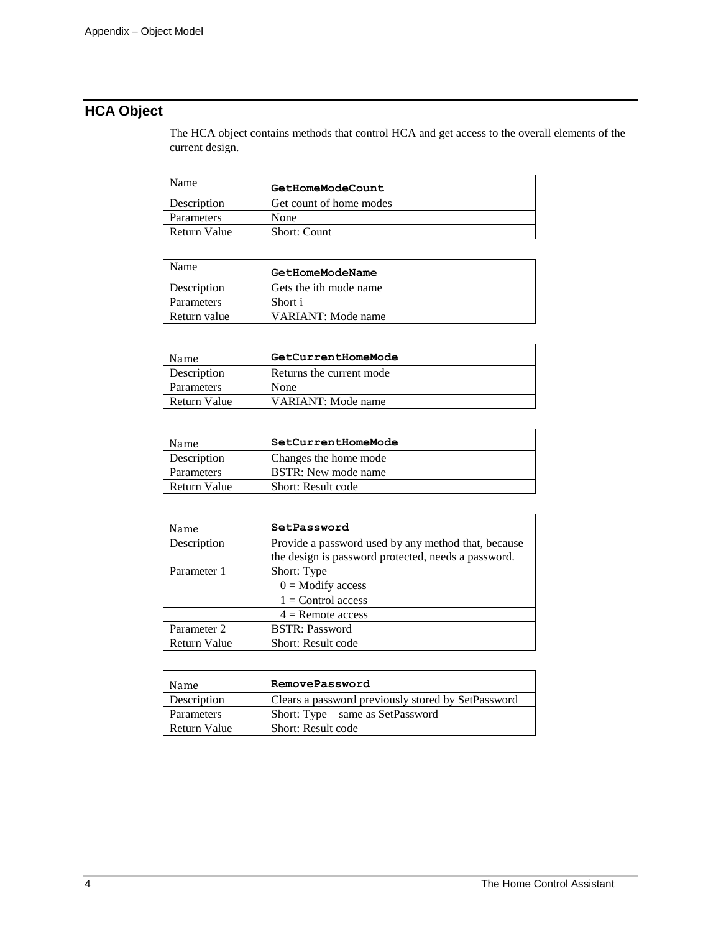## **HCA Object**

The HCA object contains methods that control HCA and get access to the overall elements of the current design.

| Name         | GetHomeModeCount        |
|--------------|-------------------------|
| Description  | Get count of home modes |
| Parameters   | None                    |
| Return Value | <b>Short: Count</b>     |

| Name              | GetHomeModeName        |
|-------------------|------------------------|
| Description       | Gets the ith mode name |
| <b>Parameters</b> | Short i                |
| Return value      | VARIANT: Mode name     |

| Name         | GetCurrentHomeMode       |
|--------------|--------------------------|
| Description  | Returns the current mode |
| Parameters   | None                     |
| Return Value | VARIANT: Mode name       |

| Name         | SetCurrentHomeMode         |
|--------------|----------------------------|
| Description  | Changes the home mode      |
| Parameters   | <b>BSTR:</b> New mode name |
| Return Value | Short: Result code         |

| Name         | SetPassword                                                                                                |
|--------------|------------------------------------------------------------------------------------------------------------|
| Description  | Provide a password used by any method that, because<br>the design is password protected, needs a password. |
|              |                                                                                                            |
| Parameter 1  | Short: Type                                                                                                |
|              | $0 =$ Modify access                                                                                        |
|              | $1 =$ Control access                                                                                       |
|              | $4$ = Remote access                                                                                        |
| Parameter 2  | <b>BSTR: Password</b>                                                                                      |
| Return Value | Short: Result code                                                                                         |

| Name         | RemovePassword                                     |
|--------------|----------------------------------------------------|
| Description  | Clears a password previously stored by SetPassword |
| Parameters   | Short: Type – same as SetPassword                  |
| Return Value | Short: Result code                                 |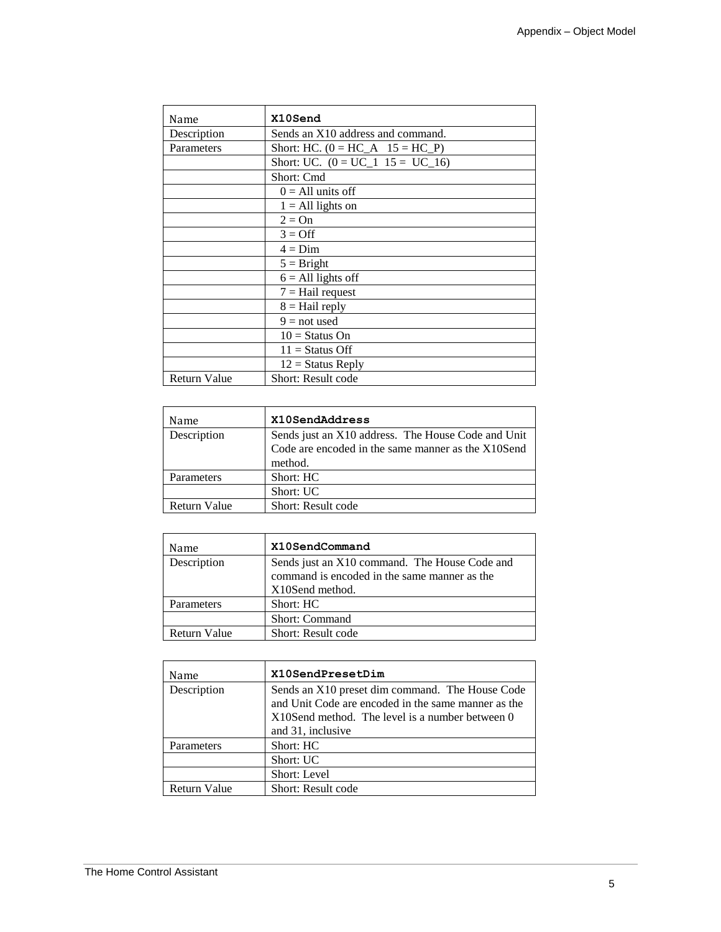| Name                | X10Send                            |
|---------------------|------------------------------------|
| Description         | Sends an X10 address and command.  |
| Parameters          | Short: HC. $(0 = HC_A 15 = HC_P)$  |
|                     | Short: UC. $(0 = UC_1 15 = UC_16)$ |
|                     | Short: Cmd                         |
|                     | $0 = All units off$                |
|                     | $1 = All lights on$                |
|                     | $2 = On$                           |
|                     | $3 = \text{Off}$                   |
|                     | $4 = Dim$                          |
|                     | $5 =$ Bright                       |
|                     | $6 = All lights off$               |
|                     | $7 =$ Hail request                 |
|                     | $8 =$ Hail reply                   |
|                     | $9 = not used$                     |
|                     | $10 =$ Status On                   |
|                     | $11 =$ Status Off                  |
|                     | $12 =$ Status Reply                |
| <b>Return Value</b> | <b>Short: Result code</b>          |

| Name         | X10SendAddress                                                                                                      |
|--------------|---------------------------------------------------------------------------------------------------------------------|
| Description  | Sends just an X10 address. The House Code and Unit<br>Code are encoded in the same manner as the X10Send<br>method. |
| Parameters   | Short: HC                                                                                                           |
|              | Short: UC                                                                                                           |
| Return Value | Short: Result code                                                                                                  |

| Name         | X10SendCommand                                |
|--------------|-----------------------------------------------|
| Description  | Sends just an X10 command. The House Code and |
|              | command is encoded in the same manner as the  |
|              | X10Send method.                               |
| Parameters   | Short: HC                                     |
|              | <b>Short: Command</b>                         |
| Return Value | <b>Short: Result code</b>                     |

| Name                | X10SendPresetDim                                                                                                                                          |
|---------------------|-----------------------------------------------------------------------------------------------------------------------------------------------------------|
| Description         | Sends an X10 preset dim command. The House Code<br>and Unit Code are encoded in the same manner as the<br>X10Send method. The level is a number between 0 |
|                     | and 31, inclusive                                                                                                                                         |
| Parameters          | Short: HC                                                                                                                                                 |
|                     | Short: UC                                                                                                                                                 |
|                     | Short: Level                                                                                                                                              |
| <b>Return Value</b> | Short: Result code                                                                                                                                        |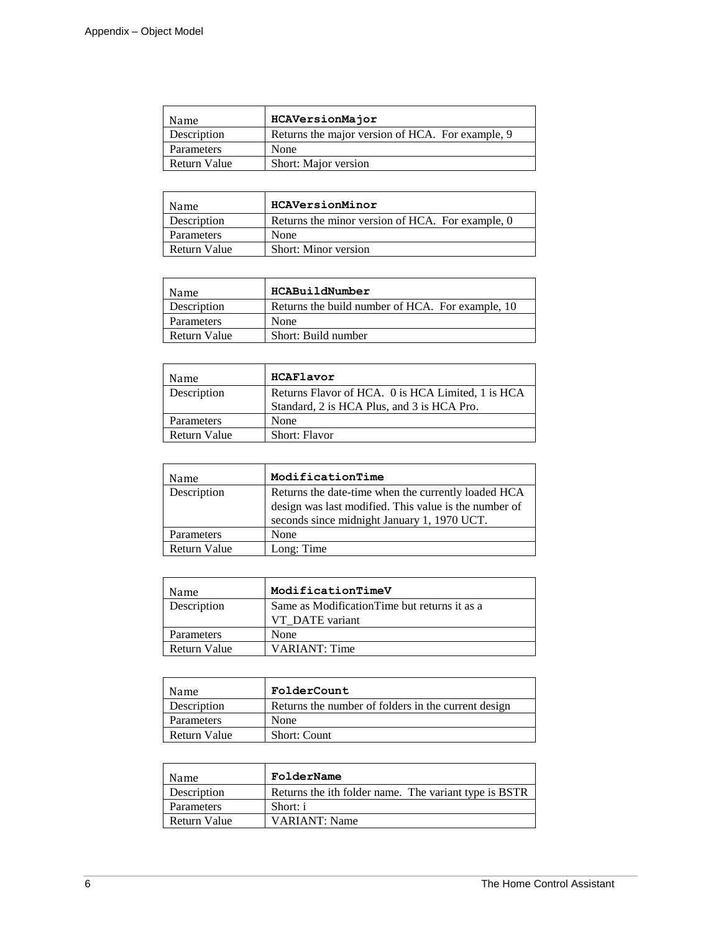| Name                | HCAVersionMajor                                  |
|---------------------|--------------------------------------------------|
| Description         | Returns the major version of HCA. For example, 9 |
| Parameters          | None                                             |
| <b>Return Value</b> | Short: Major version                             |

| Name         | HCAVersionMinor                                  |
|--------------|--------------------------------------------------|
| Description  | Returns the minor version of HCA. For example, 0 |
| Parameters   | None                                             |
| Return Value | <b>Short: Minor version</b>                      |

| Name         | HCABuildNumber                                   |
|--------------|--------------------------------------------------|
| Description  | Returns the build number of HCA. For example, 10 |
| Parameters   | None                                             |
| Return Value | Short: Build number                              |

| Name         | HCAFlavor                                                                                       |
|--------------|-------------------------------------------------------------------------------------------------|
| Description  | Returns Flavor of HCA. 0 is HCA Limited, 1 is HCA<br>Standard, 2 is HCA Plus, and 3 is HCA Pro. |
| Parameters   | None                                                                                            |
| Return Value | <b>Short: Flavor</b>                                                                            |

| Name         | ModificationTime                                                                                                                                            |
|--------------|-------------------------------------------------------------------------------------------------------------------------------------------------------------|
| Description  | Returns the date-time when the currently loaded HCA<br>design was last modified. This value is the number of<br>seconds since midnight January 1, 1970 UCT. |
| Parameters   | None                                                                                                                                                        |
| Return Value | Long: Time                                                                                                                                                  |

| Name         | ModificationTimeV                                                |
|--------------|------------------------------------------------------------------|
| Description  | Same as Modification Time but returns it as a<br>VT DATE variant |
| Parameters   | None                                                             |
| Return Value | VARIANT: Time                                                    |

| Name         | FolderCount                                         |
|--------------|-----------------------------------------------------|
| Description  | Returns the number of folders in the current design |
| Parameters   | None                                                |
| Return Value | <b>Short: Count</b>                                 |

| Name         | FolderName                                            |
|--------------|-------------------------------------------------------|
| Description  | Returns the ith folder name. The variant type is BSTR |
| Parameters   | Short: i                                              |
| Return Value | <b>VARIANT:</b> Name                                  |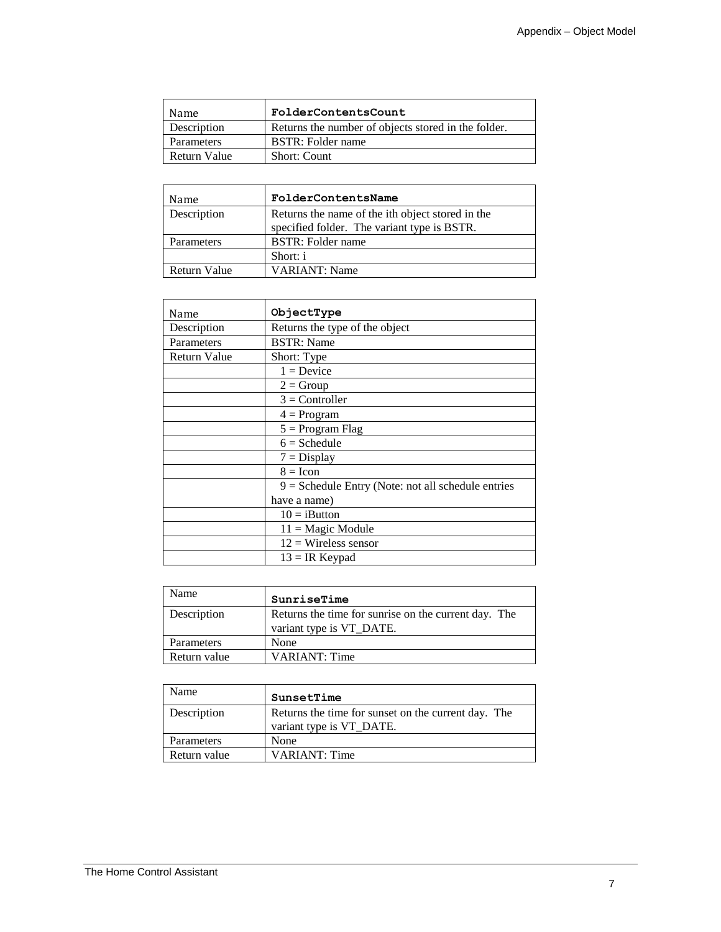| Name         | FolderContentsCount                                 |
|--------------|-----------------------------------------------------|
| Description  | Returns the number of objects stored in the folder. |
| Parameters   | BSTR: Folder name                                   |
| Return Value | <b>Short: Count</b>                                 |

| Name         | FolderContentsName                                                                              |
|--------------|-------------------------------------------------------------------------------------------------|
| Description  | Returns the name of the ith object stored in the<br>specified folder. The variant type is BSTR. |
| Parameters   | BSTR: Folder name                                                                               |
|              | Short: i                                                                                        |
| Return Value | <b>VARIANT: Name</b>                                                                            |

| Name         | ObjectType                                           |
|--------------|------------------------------------------------------|
| Description  | Returns the type of the object                       |
| Parameters   | <b>BSTR:</b> Name                                    |
| Return Value | Short: Type                                          |
|              | $1 = Device$                                         |
|              | $2 = Group$                                          |
|              | $3 =$ Controller                                     |
|              | $4 = Program$                                        |
|              | $5 = Program Flag$                                   |
|              | $6 = S$ chedule                                      |
|              | $7 = Display$                                        |
|              | $8 =$ Icon                                           |
|              | $9 =$ Schedule Entry (Note: not all schedule entries |
|              | have a name)                                         |
|              | $10 = iBut$ ton                                      |
|              | $11 = \text{Magic Module}$                           |
|              | $12 =$ Wireless sensor                               |
|              | $13 = IR$ Keypad                                     |

| Name         | SunriseTime                                                                      |
|--------------|----------------------------------------------------------------------------------|
| Description  | Returns the time for sunrise on the current day. The<br>variant type is VT_DATE. |
| Parameters   | None                                                                             |
| Return value | <b>VARIANT: Time</b>                                                             |

| Name         | SunsetTime                                                                      |
|--------------|---------------------------------------------------------------------------------|
| Description  | Returns the time for sunset on the current day. The<br>variant type is VT_DATE. |
| Parameters   | None                                                                            |
| Return value | <b>VARIANT: Time</b>                                                            |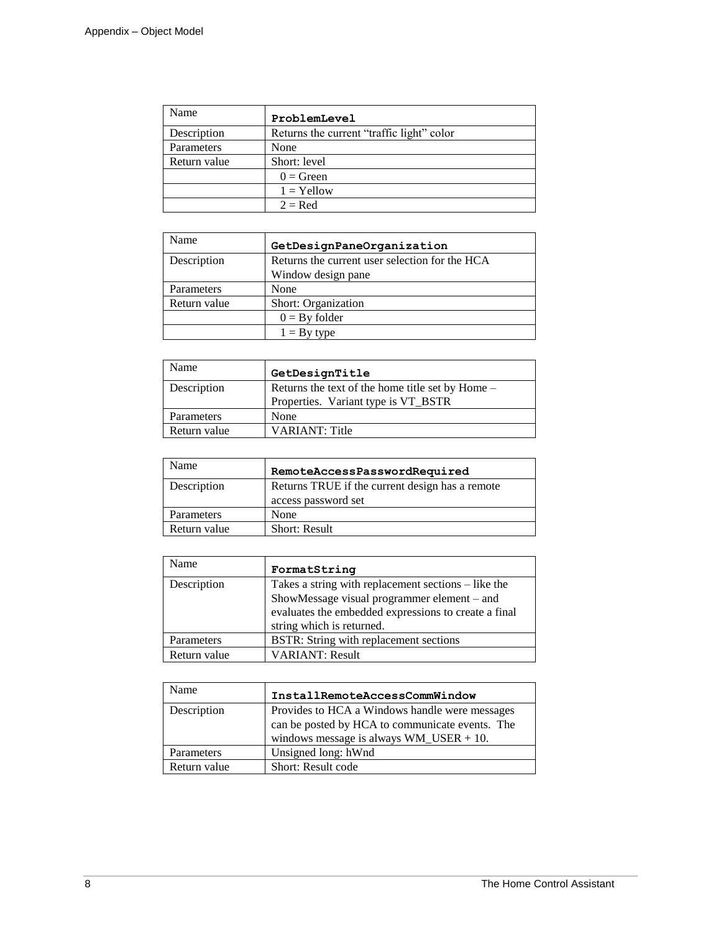| Name         | ProblemLevel                              |
|--------------|-------------------------------------------|
| Description  | Returns the current "traffic light" color |
| Parameters   | None                                      |
| Return value | Short: level                              |
|              | $0 = Green$                               |
|              | $1 =$ Yellow                              |
|              | $2 = Red$                                 |

| <b>Name</b>  | GetDesignPaneOrganization                      |
|--------------|------------------------------------------------|
| Description  | Returns the current user selection for the HCA |
|              | Window design pane                             |
| Parameters   | None                                           |
| Return value | Short: Organization                            |
|              | $0 = By folder$                                |
|              | $1 = Bv$ type                                  |

| Name         | GetDesignTitle                                                                          |
|--------------|-----------------------------------------------------------------------------------------|
| Description  | Returns the text of the home title set by Home –<br>Properties. Variant type is VT_BSTR |
| Parameters   | None                                                                                    |
| Return value | <b>VARIANT: Title</b>                                                                   |

| Name         | RemoteAccessPasswordRequired                                           |
|--------------|------------------------------------------------------------------------|
| Description  | Returns TRUE if the current design has a remote<br>access password set |
| Parameters   | None                                                                   |
| Return value | <b>Short: Result</b>                                                   |

| Name         | FormatString                                         |
|--------------|------------------------------------------------------|
| Description  | Takes a string with replacement sections – like the  |
|              | ShowMessage visual programmer element - and          |
|              | evaluates the embedded expressions to create a final |
|              | string which is returned.                            |
| Parameters   | BSTR: String with replacement sections               |
| Return value | <b>VARIANT: Result</b>                               |

| Name         | InstallRemoteAccessCommWindow                   |
|--------------|-------------------------------------------------|
| Description  | Provides to HCA a Windows handle were messages  |
|              | can be posted by HCA to communicate events. The |
|              | windows message is always $WM$ _USER + 10.      |
| Parameters   | Unsigned long: hWnd                             |
| Return value | Short: Result code                              |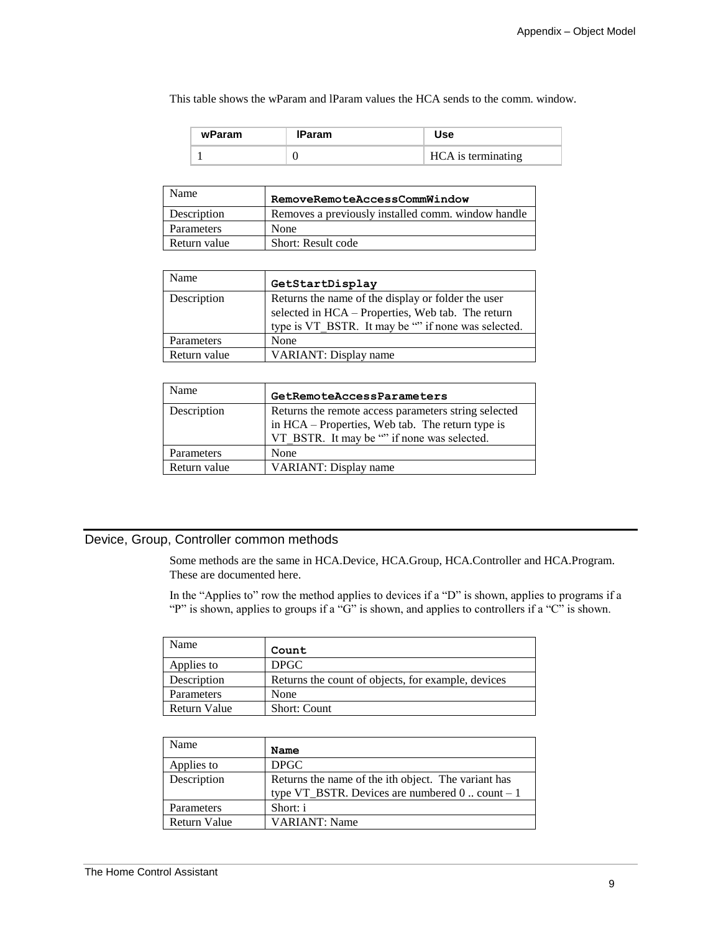This table shows the wParam and lParam values the HCA sends to the comm. window.

| wParam | Param |                    |
|--------|-------|--------------------|
|        |       | HCA is terminating |

| Name         | RemoveRemoteAccessCommWindow                       |
|--------------|----------------------------------------------------|
| Description  | Removes a previously installed comm. window handle |
| Parameters   | None                                               |
| Return value | Short: Result code                                 |

| Name         | GetStartDisplay                                                                                                                                                |
|--------------|----------------------------------------------------------------------------------------------------------------------------------------------------------------|
| Description  | Returns the name of the display or folder the user<br>selected in HCA - Properties, Web tab. The return<br>type is VT BSTR. It may be "" if none was selected. |
| Parameters   | None                                                                                                                                                           |
| Return value | VARIANT: Display name                                                                                                                                          |

| Name         | GetRemoteAccessParameters                                                                                                                               |
|--------------|---------------------------------------------------------------------------------------------------------------------------------------------------------|
| Description  | Returns the remote access parameters string selected<br>in HCA – Properties, Web tab. The return type is<br>VT BSTR. It may be "" if none was selected. |
| Parameters   | None                                                                                                                                                    |
| Return value | VARIANT: Display name                                                                                                                                   |

## Device, Group, Controller common methods

Some methods are the same in HCA.Device, HCA.Group, HCA.Controller and HCA.Program. These are documented here.

In the "Applies to" row the method applies to devices if a "D" is shown, applies to programs if a "P" is shown, applies to groups if a "G" is shown, and applies to controllers if a "C" is shown.

| Name         | Count                                              |
|--------------|----------------------------------------------------|
| Applies to   | <b>DPGC</b>                                        |
| Description  | Returns the count of objects, for example, devices |
| Parameters   | None                                               |
| Return Value | <b>Short: Count</b>                                |

| Name         | Name                                                                                                           |
|--------------|----------------------------------------------------------------------------------------------------------------|
| Applies to   | DPGC                                                                                                           |
| Description  | Returns the name of the ith object. The variant has<br>type VT_BSTR. Devices are numbered $0 \dots$ count $-1$ |
| Parameters   | Short: i                                                                                                       |
| Return Value | <b>VARIANT:</b> Name                                                                                           |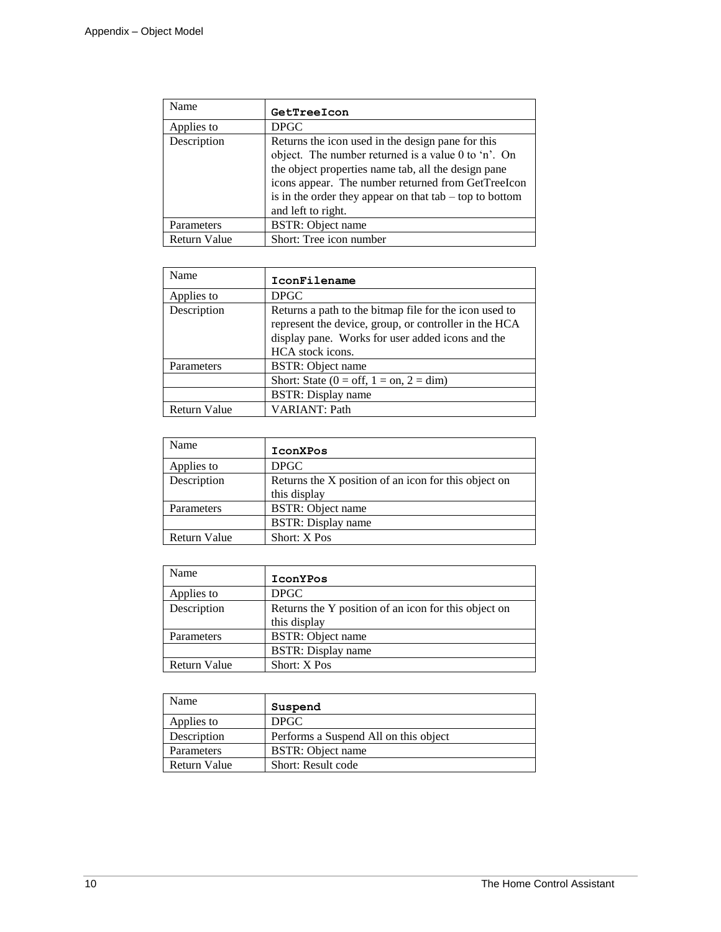| Name                | GetTreeIcon                                                                                                                                                                                                                                                                                              |
|---------------------|----------------------------------------------------------------------------------------------------------------------------------------------------------------------------------------------------------------------------------------------------------------------------------------------------------|
| Applies to          | <b>DPGC</b>                                                                                                                                                                                                                                                                                              |
| Description         | Returns the icon used in the design pane for this<br>object. The number returned is a value 0 to 'n'. On<br>the object properties name tab, all the design pane<br>icons appear. The number returned from GetTreeIcon<br>is in the order they appear on that $tab - top to bottom$<br>and left to right. |
| Parameters          | <b>BSTR:</b> Object name                                                                                                                                                                                                                                                                                 |
| <b>Return Value</b> | Short: Tree icon number                                                                                                                                                                                                                                                                                  |

| Name                | IconFilename                                                                                                                                                                            |
|---------------------|-----------------------------------------------------------------------------------------------------------------------------------------------------------------------------------------|
| Applies to          | <b>DPGC</b>                                                                                                                                                                             |
| Description         | Returns a path to the bitmap file for the icon used to<br>represent the device, group, or controller in the HCA<br>display pane. Works for user added icons and the<br>HCA stock icons. |
| Parameters          | <b>BSTR:</b> Object name                                                                                                                                                                |
|                     | Short: State ( $0 = \text{off}$ , $1 = \text{on}$ , $2 = \text{dim}$ )                                                                                                                  |
|                     | <b>BSTR:</b> Display name                                                                                                                                                               |
| <b>Return Value</b> | <b>VARIANT: Path</b>                                                                                                                                                                    |

| Name         | IconXPos                                                             |
|--------------|----------------------------------------------------------------------|
| Applies to   | <b>DPGC</b>                                                          |
| Description  | Returns the X position of an icon for this object on<br>this display |
| Parameters   | <b>BSTR:</b> Object name                                             |
|              | <b>BSTR:</b> Display name                                            |
| Return Value | Short: X Pos                                                         |

| Name         | IconYPos                                                             |
|--------------|----------------------------------------------------------------------|
| Applies to   | <b>DPGC</b>                                                          |
| Description  | Returns the Y position of an icon for this object on<br>this display |
| Parameters   | <b>BSTR:</b> Object name                                             |
|              | <b>BSTR:</b> Display name                                            |
| Return Value | Short: X Pos                                                         |

| Name         | Suspend                               |
|--------------|---------------------------------------|
| Applies to   | <b>DPGC</b>                           |
| Description  | Performs a Suspend All on this object |
| Parameters   | <b>BSTR:</b> Object name              |
| Return Value | Short: Result code                    |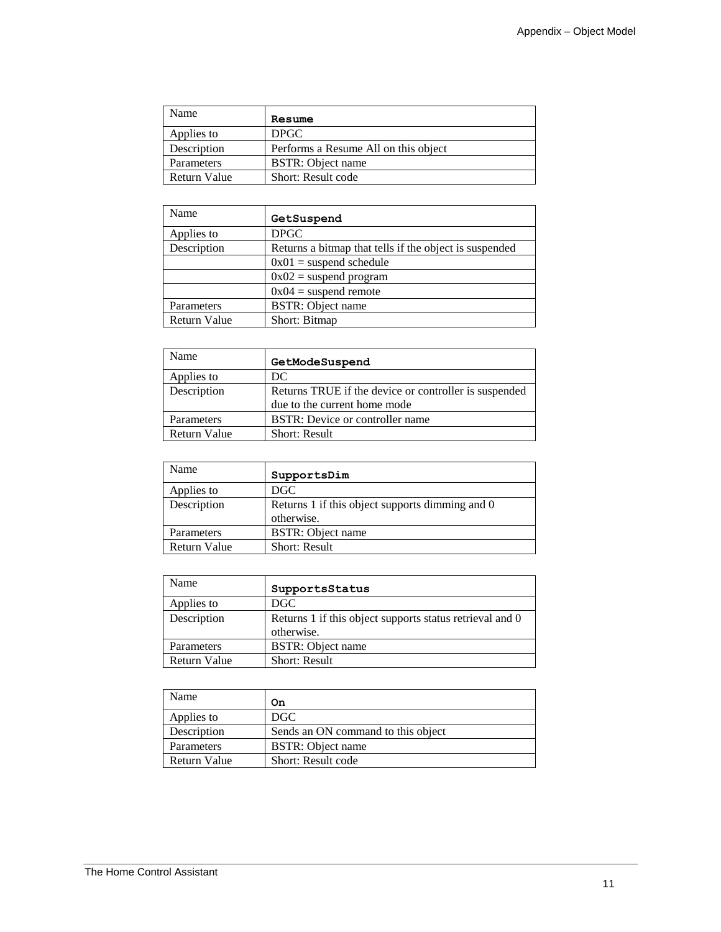| Name         | Resume                               |
|--------------|--------------------------------------|
| Applies to   | <b>DPGC</b>                          |
| Description  | Performs a Resume All on this object |
| Parameters   | <b>BSTR:</b> Object name             |
| Return Value | Short: Result code                   |

| Name                | GetSuspend                                             |
|---------------------|--------------------------------------------------------|
| Applies to          | <b>DPGC</b>                                            |
| Description         | Returns a bitmap that tells if the object is suspended |
|                     | $0x01$ = suspend schedule                              |
|                     | $0x02$ = suspend program                               |
|                     | $0x04$ = suspend remote                                |
| Parameters          | <b>BSTR:</b> Object name                               |
| <b>Return Value</b> | Short: Bitmap                                          |

| Name                | GetModeSuspend                                                                        |
|---------------------|---------------------------------------------------------------------------------------|
| Applies to          | DC                                                                                    |
| Description         | Returns TRUE if the device or controller is suspended<br>due to the current home mode |
| Parameters          | BSTR: Device or controller name                                                       |
| <b>Return Value</b> | <b>Short: Result</b>                                                                  |

| Name         | SupportsDim                                                   |
|--------------|---------------------------------------------------------------|
| Applies to   | DGC.                                                          |
| Description  | Returns 1 if this object supports dimming and 0<br>otherwise. |
| Parameters   | <b>BSTR:</b> Object name                                      |
| Return Value | <b>Short: Result</b>                                          |

| Name         | SupportsStatus                                                         |
|--------------|------------------------------------------------------------------------|
| Applies to   | DGC                                                                    |
| Description  | Returns 1 if this object supports status retrieval and 0<br>otherwise. |
| Parameters   | <b>BSTR:</b> Object name                                               |
| Return Value | <b>Short: Result</b>                                                   |

| Name                | On                                 |
|---------------------|------------------------------------|
| Applies to          | DGC                                |
| Description         | Sends an ON command to this object |
| Parameters          | <b>BSTR:</b> Object name           |
| <b>Return Value</b> | Short: Result code                 |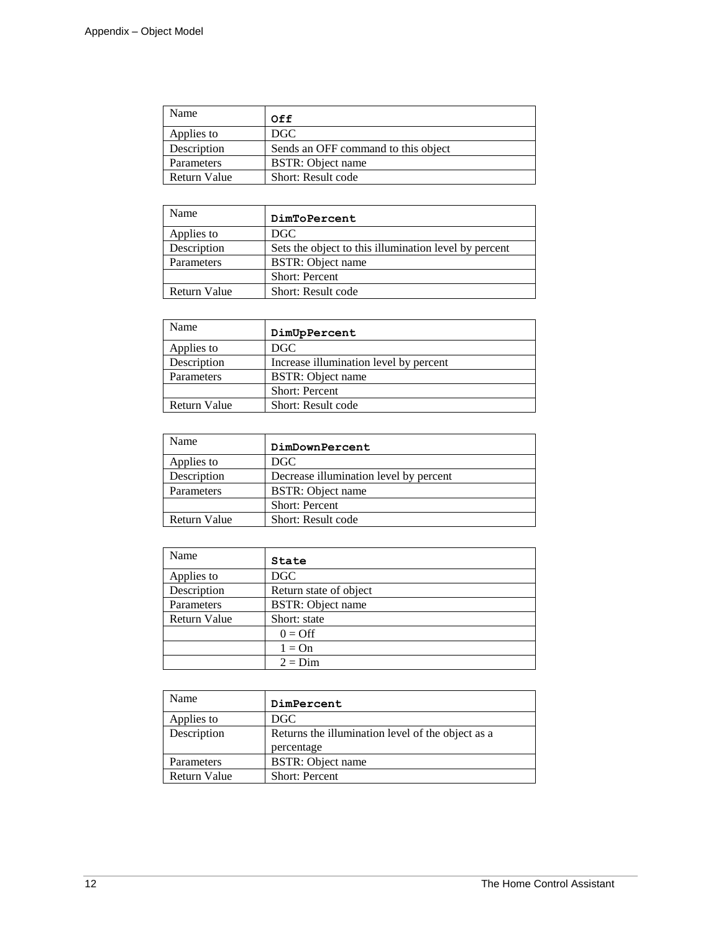| Name         | Off                                 |
|--------------|-------------------------------------|
| Applies to   | DGC.                                |
| Description  | Sends an OFF command to this object |
| Parameters   | BSTR: Object name                   |
| Return Value | Short: Result code                  |

| Name         | DimToPercent                                          |
|--------------|-------------------------------------------------------|
| Applies to   | DGC.                                                  |
| Description  | Sets the object to this illumination level by percent |
| Parameters   | <b>BSTR:</b> Object name                              |
|              | <b>Short: Percent</b>                                 |
| Return Value | Short: Result code                                    |

| Name         | DimUpPercent                           |
|--------------|----------------------------------------|
| Applies to   | DGC                                    |
| Description  | Increase illumination level by percent |
| Parameters   | <b>BSTR:</b> Object name               |
|              | <b>Short: Percent</b>                  |
| Return Value | Short: Result code                     |

| Name         | DimDownPercent                         |
|--------------|----------------------------------------|
| Applies to   | DGC.                                   |
| Description  | Decrease illumination level by percent |
| Parameters   | <b>BSTR:</b> Object name               |
|              | <b>Short: Percent</b>                  |
| Return Value | Short: Result code                     |

| Name         | State                    |
|--------------|--------------------------|
| Applies to   | DGC                      |
| Description  | Return state of object   |
| Parameters   | <b>BSTR:</b> Object name |
| Return Value | Short: state             |
|              | $0 = \text{Off}$         |
|              | $1 = On$                 |
|              | $2 = Dim$                |

| Name         | DimPercent                                                      |
|--------------|-----------------------------------------------------------------|
| Applies to   | DGC                                                             |
| Description  | Returns the illumination level of the object as a<br>percentage |
| Parameters   | <b>BSTR:</b> Object name                                        |
| Return Value | <b>Short: Percent</b>                                           |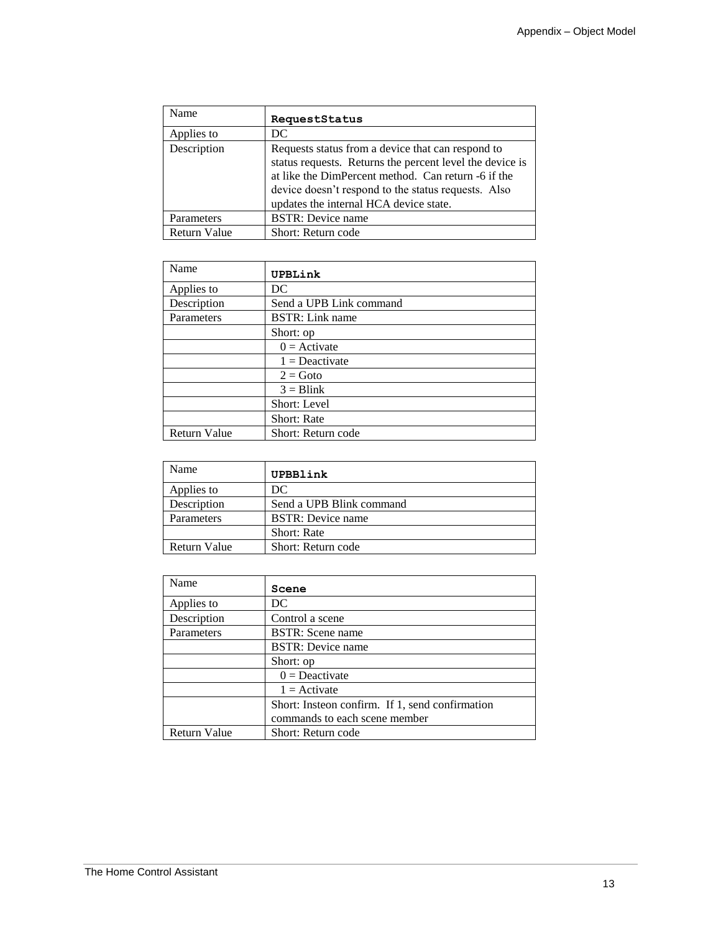| Name                | RequestStatus                                                                                                                                                                                                                                                         |
|---------------------|-----------------------------------------------------------------------------------------------------------------------------------------------------------------------------------------------------------------------------------------------------------------------|
| Applies to          | DC                                                                                                                                                                                                                                                                    |
| Description         | Requests status from a device that can respond to<br>status requests. Returns the percent level the device is<br>at like the DimPercent method. Can return -6 if the<br>device doesn't respond to the status requests. Also<br>updates the internal HCA device state. |
| Parameters          | <b>BSTR:</b> Device name                                                                                                                                                                                                                                              |
| <b>Return Value</b> | Short: Return code                                                                                                                                                                                                                                                    |

| Name                | UPBLink                 |
|---------------------|-------------------------|
| Applies to          | DC                      |
| Description         | Send a UPB Link command |
| Parameters          | <b>BSTR:</b> Link name  |
|                     | Short: op               |
|                     | $0 =$ Activate          |
|                     | $1 =$ Deactivate        |
|                     | $2 = Goto$              |
|                     | $3 = \text{Blink}$      |
|                     | Short: Level            |
|                     | Short: Rate             |
| <b>Return Value</b> | Short: Return code      |

| Name         | UPBBlink                 |
|--------------|--------------------------|
| Applies to   | DC                       |
| Description  | Send a UPB Blink command |
| Parameters   | <b>BSTR:</b> Device name |
|              | <b>Short:</b> Rate       |
| Return Value | Short: Return code       |

| Name                | Scene                                           |
|---------------------|-------------------------------------------------|
| Applies to          | DС                                              |
| Description         | Control a scene                                 |
| Parameters          | <b>BSTR:</b> Scene name                         |
|                     | <b>BSTR:</b> Device name                        |
|                     | Short: op                                       |
|                     | $0 =$ Deactivate                                |
|                     | $1 =$ Activate                                  |
|                     | Short: Insteon confirm. If 1, send confirmation |
|                     | commands to each scene member                   |
| <b>Return Value</b> | Short: Return code                              |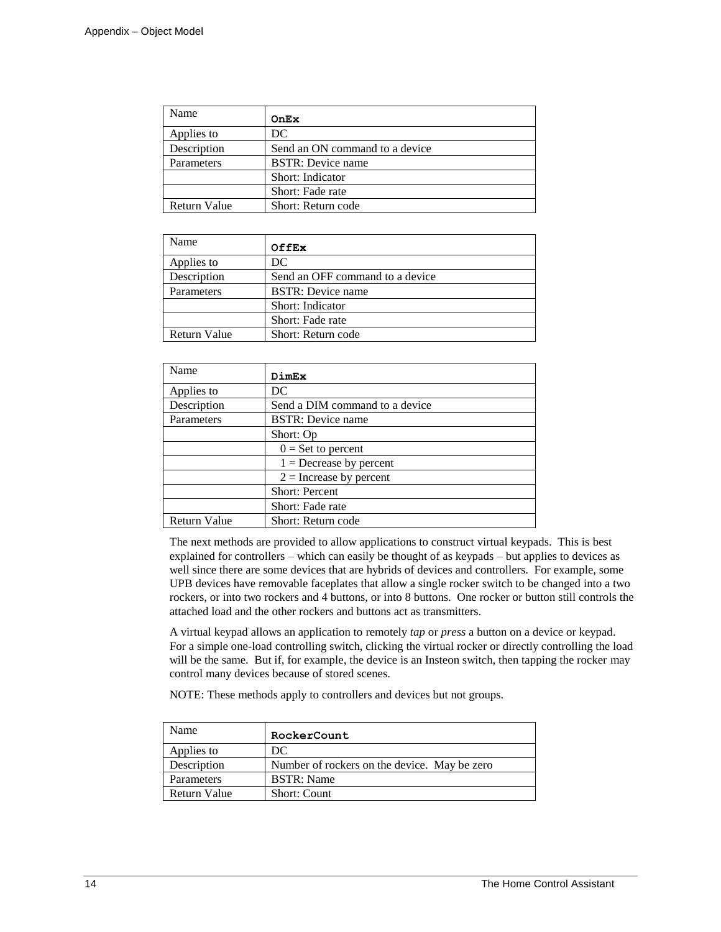| Name                | OnEx                           |
|---------------------|--------------------------------|
| Applies to          | DC                             |
| Description         | Send an ON command to a device |
| Parameters          | <b>BSTR:</b> Device name       |
|                     | Short: Indicator               |
|                     | Short: Fade rate               |
| <b>Return Value</b> | Short: Return code             |

| Name         | <b>OffEx</b>                    |
|--------------|---------------------------------|
| Applies to   | DC                              |
| Description  | Send an OFF command to a device |
| Parameters   | <b>BSTR:</b> Device name        |
|              | Short: Indicator                |
|              | Short: Fade rate                |
| Return Value | Short: Return code              |

| Name                | DimEx                          |
|---------------------|--------------------------------|
| Applies to          | DC                             |
| Description         | Send a DIM command to a device |
| Parameters          | <b>BSTR:</b> Device name       |
|                     | Short: Op                      |
|                     | $0 = Set to percent$           |
|                     | $1 =$ Decrease by percent      |
|                     | $2 =$ Increase by percent      |
|                     | <b>Short: Percent</b>          |
|                     | Short: Fade rate               |
| <b>Return Value</b> | Short: Return code             |

The next methods are provided to allow applications to construct virtual keypads. This is best explained for controllers – which can easily be thought of as keypads – but applies to devices as well since there are some devices that are hybrids of devices and controllers. For example, some UPB devices have removable faceplates that allow a single rocker switch to be changed into a two rockers, or into two rockers and 4 buttons, or into 8 buttons. One rocker or button still controls the attached load and the other rockers and buttons act as transmitters.

A virtual keypad allows an application to remotely *tap* or *press* a button on a device or keypad. For a simple one-load controlling switch, clicking the virtual rocker or directly controlling the load will be the same. But if, for example, the device is an Insteon switch, then tapping the rocker may control many devices because of stored scenes.

NOTE: These methods apply to controllers and devices but not groups.

| Name         | RockerCount                                  |
|--------------|----------------------------------------------|
| Applies to   | DC                                           |
| Description  | Number of rockers on the device. May be zero |
| Parameters   | <b>BSTR:</b> Name                            |
| Return Value | <b>Short: Count</b>                          |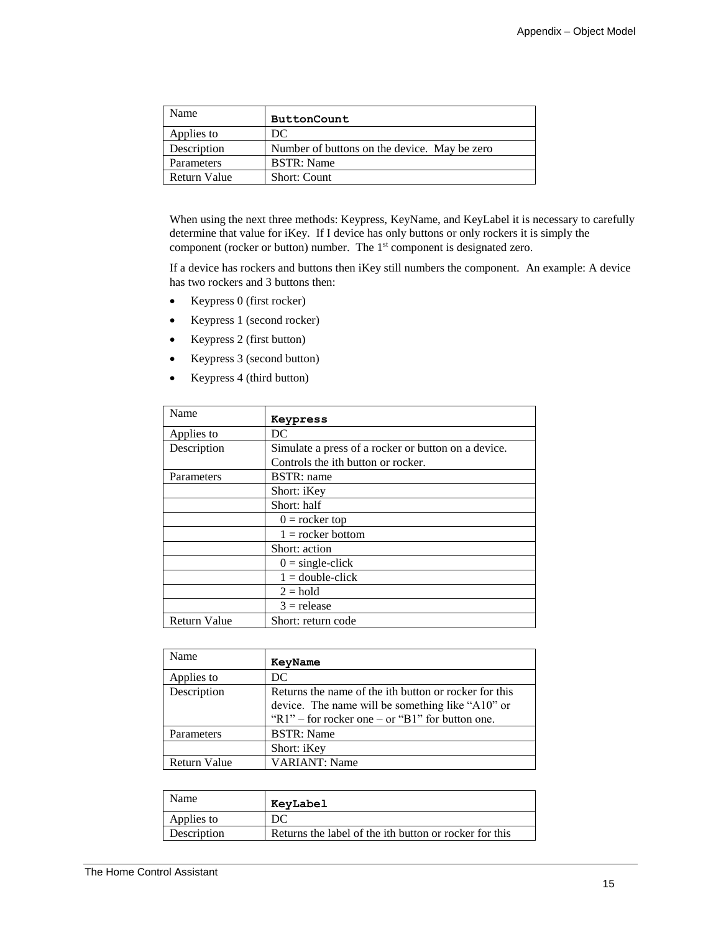| Name         | <b>ButtonCount</b>                           |
|--------------|----------------------------------------------|
| Applies to   | DС                                           |
| Description  | Number of buttons on the device. May be zero |
| Parameters   | <b>BSTR:</b> Name                            |
| Return Value | <b>Short: Count</b>                          |

When using the next three methods: Keypress, KeyName, and KeyLabel it is necessary to carefully determine that value for iKey. If I device has only buttons or only rockers it is simply the component (rocker or button) number. The 1<sup>st</sup> component is designated zero.

If a device has rockers and buttons then iKey still numbers the component. An example: A device has two rockers and 3 buttons then:

- Keypress 0 (first rocker)
- Keypress 1 (second rocker)
- Keypress 2 (first button)
- Keypress 3 (second button)
- Keypress 4 (third button)

| Name                | Keypress                                            |  |  |
|---------------------|-----------------------------------------------------|--|--|
| Applies to          | DC                                                  |  |  |
| Description         | Simulate a press of a rocker or button on a device. |  |  |
|                     | Controls the ith button or rocker.                  |  |  |
| Parameters          | <b>BSTR</b> : name                                  |  |  |
|                     | Short: iKey                                         |  |  |
|                     | Short: half                                         |  |  |
|                     | $0 =$ rocker top                                    |  |  |
|                     | $1 =$ rocker bottom                                 |  |  |
|                     | Short: action                                       |  |  |
|                     | $0 = single-click$                                  |  |  |
|                     | $1 =$ double-click                                  |  |  |
|                     | $2 = hold$                                          |  |  |
|                     | $3$ = release                                       |  |  |
| <b>Return Value</b> | Short: return code                                  |  |  |

| Name                | KeyName                                                                                                                                                            |
|---------------------|--------------------------------------------------------------------------------------------------------------------------------------------------------------------|
| Applies to          | DC.                                                                                                                                                                |
| Description         | Returns the name of the ith button or rocker for this<br>device. The name will be something like "A10" or<br>" $R1"$ – for rocker one – or " $B1"$ for button one. |
| Parameters          | <b>BSTR:</b> Name                                                                                                                                                  |
|                     | Short: iKey                                                                                                                                                        |
| <b>Return Value</b> | <b>VARIANT: Name</b>                                                                                                                                               |

| Name        | KeyLabel                                               |
|-------------|--------------------------------------------------------|
| Applies to  | DС                                                     |
| Description | Returns the label of the ith button or rocker for this |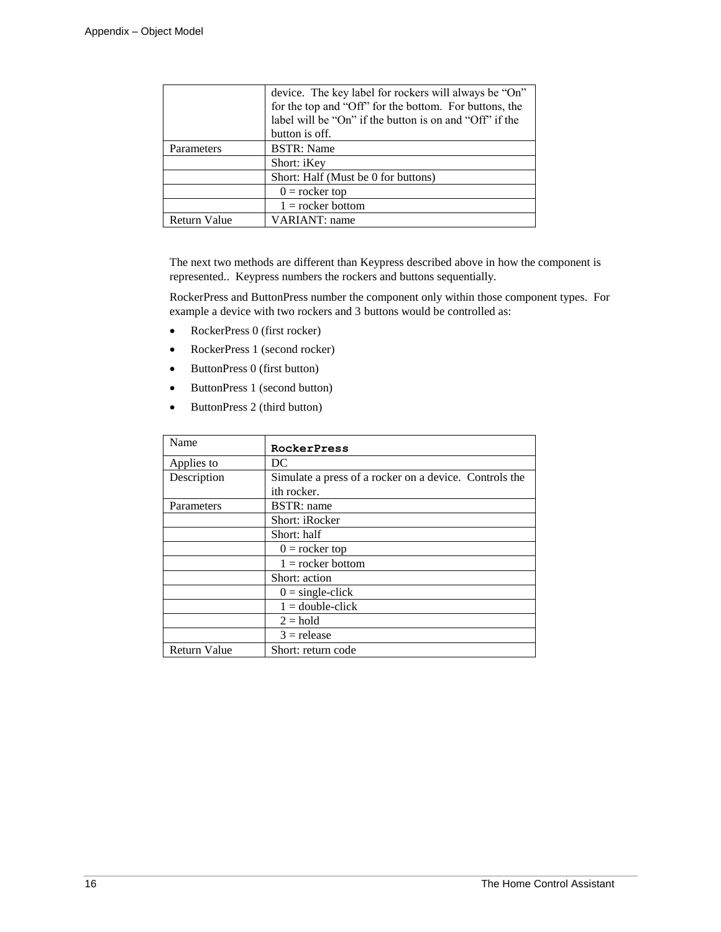|                     | device. The key label for rockers will always be "On"   |  |  |
|---------------------|---------------------------------------------------------|--|--|
|                     | for the top and "Off" for the bottom. For buttons, the  |  |  |
|                     | label will be "On" if the button is on and "Off" if the |  |  |
|                     | button is off.                                          |  |  |
| Parameters          | <b>BSTR:</b> Name                                       |  |  |
|                     | Short: iKey                                             |  |  |
|                     | Short: Half (Must be 0 for buttons)                     |  |  |
|                     | $0 =$ rocker top                                        |  |  |
|                     | $1 =$ rocker bottom                                     |  |  |
| <b>Return Value</b> | <b>VARIANT</b> : name                                   |  |  |

The next two methods are different than Keypress described above in how the component is represented.. Keypress numbers the rockers and buttons sequentially.

RockerPress and ButtonPress number the component only within those component types. For example a device with two rockers and 3 buttons would be controlled as:

- RockerPress 0 (first rocker)
- RockerPress 1 (second rocker)
- ButtonPress 0 (first button)
- ButtonPress 1 (second button)
- ButtonPress 2 (third button)

| Name                | RockerPress                                            |
|---------------------|--------------------------------------------------------|
| Applies to          | DC                                                     |
| Description         | Simulate a press of a rocker on a device. Controls the |
|                     | ith rocker.                                            |
| Parameters          | <b>BSTR</b> : name                                     |
|                     | Short: iRocker                                         |
|                     | Short: half                                            |
|                     | $0 =$ rocker top                                       |
|                     | $1 =$ rocker bottom                                    |
|                     | Short: action                                          |
|                     | $0 = single-click$                                     |
|                     | $1 =$ double-click                                     |
|                     | $2 = hold$                                             |
|                     | $3$ = release                                          |
| <b>Return Value</b> | Short: return code                                     |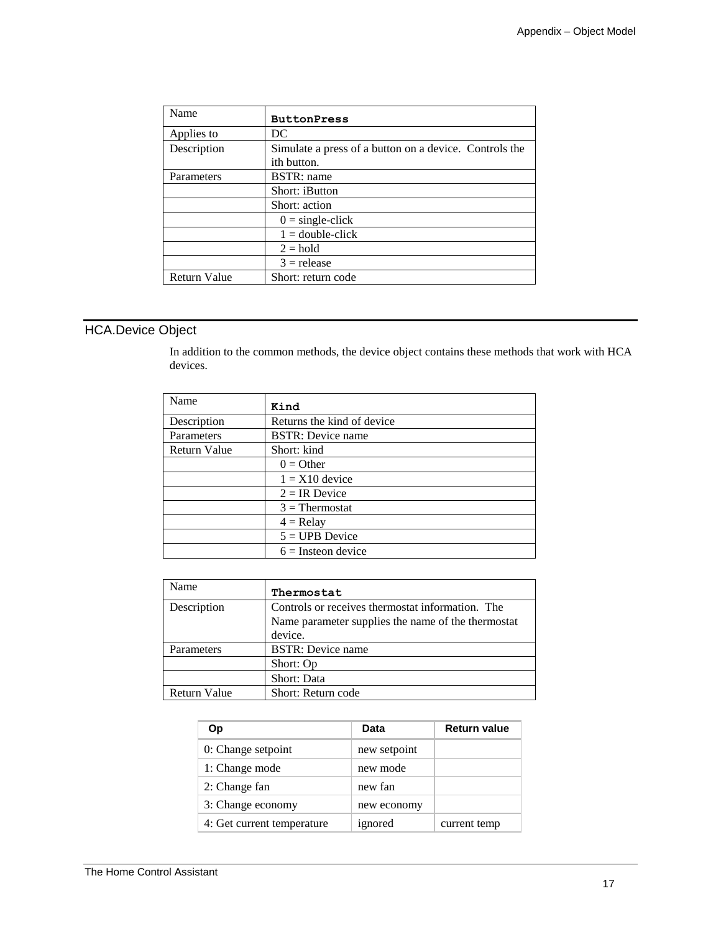| Name                | <b>ButtonPress</b>                                     |
|---------------------|--------------------------------------------------------|
| Applies to          | DC                                                     |
| Description         | Simulate a press of a button on a device. Controls the |
|                     | ith button.                                            |
| Parameters          | BSTR: name                                             |
|                     | Short: iButton                                         |
|                     | Short: action                                          |
|                     | $0 = single-click$                                     |
|                     | $1 =$ double-click                                     |
|                     | $2 = hold$                                             |
|                     | $3$ = release                                          |
| <b>Return Value</b> | Short: return code                                     |

## HCA.Device Object

In addition to the common methods, the device object contains these methods that work with HCA devices.

| Name         | Kind                        |  |
|--------------|-----------------------------|--|
| Description  | Returns the kind of device. |  |
| Parameters   | <b>BSTR:</b> Device name    |  |
| Return Value | Short: kind                 |  |
|              | $0 =$ Other                 |  |
|              | $1 = X10$ device            |  |
|              | $2 = IR$ Device             |  |
|              | $3$ = Thermostat            |  |
|              | $4 =$ Relay                 |  |
|              | $5 = UPB$ Device            |  |
|              | $6 =$ Insteon device        |  |

| Name                | Thermostat                                         |  |  |
|---------------------|----------------------------------------------------|--|--|
| Description         | Controls or receives thermostat information. The   |  |  |
|                     | Name parameter supplies the name of the thermostat |  |  |
|                     | device.                                            |  |  |
| Parameters          | <b>BSTR:</b> Device name                           |  |  |
|                     | Short: Op                                          |  |  |
|                     | Short: Data                                        |  |  |
| <b>Return Value</b> | Short: Return code                                 |  |  |

| Оp                         | Data         | <b>Return value</b> |
|----------------------------|--------------|---------------------|
| 0: Change setpoint         | new setpoint |                     |
| 1: Change mode             | new mode     |                     |
| 2: Change fan              | new fan      |                     |
| 3: Change economy          | new economy  |                     |
| 4: Get current temperature | ignored      | current temp        |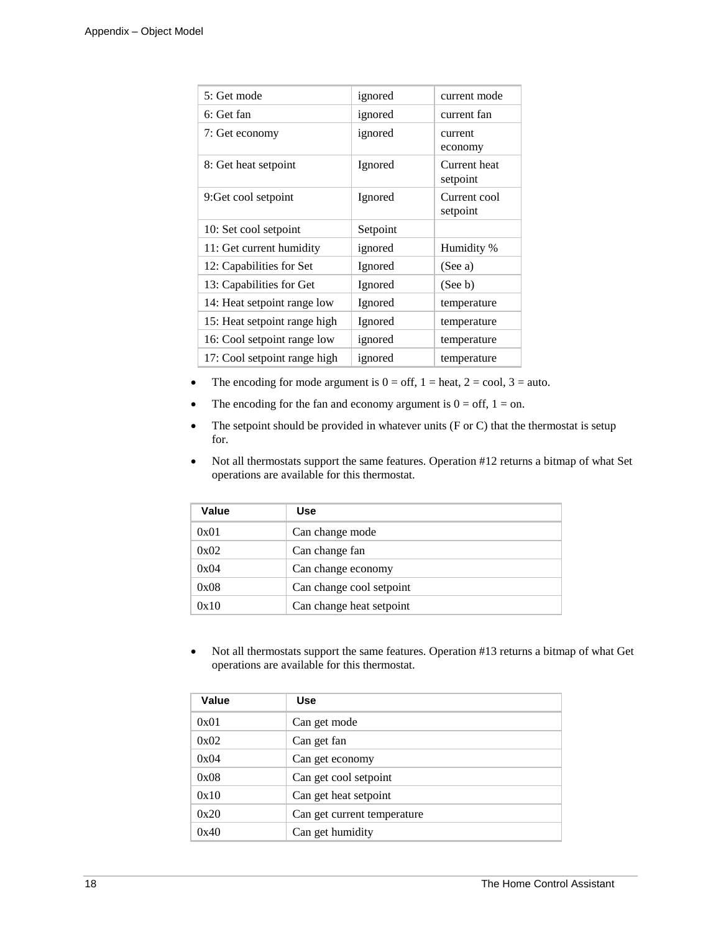| 5: Get mode                  | ignored  | current mode             |
|------------------------------|----------|--------------------------|
| 6: Get fan                   | ignored  | current fan              |
| 7: Get economy               | ignored  | current<br>economy       |
| 8: Get heat setpoint         | Ignored  | Current heat<br>setpoint |
| 9: Get cool setpoint         | Ignored  | Current cool<br>setpoint |
| 10: Set cool setpoint        | Setpoint |                          |
| 11: Get current humidity     | ignored  | Humidity %               |
| 12: Capabilities for Set     | Ignored  | (See a)                  |
| 13: Capabilities for Get     | Ignored  | (See b)                  |
| 14: Heat setpoint range low  | Ignored  | temperature              |
| 15: Heat setpoint range high | Ignored  | temperature              |
| 16: Cool setpoint range low  | ignored  | temperature              |
| 17: Cool setpoint range high | ignored  | temperature              |

- The encoding for mode argument is  $0 = \text{off}, 1 = \text{heat}, 2 = \text{cool}, 3 = \text{auto}.$
- The encoding for the fan and economy argument is  $0 = \text{off}, 1 = \text{on}.$
- The setpoint should be provided in whatever units (F or C) that the thermostat is setup for.
- Not all thermostats support the same features. Operation #12 returns a bitmap of what Set operations are available for this thermostat.

| Value | <b>Use</b>               |
|-------|--------------------------|
| 0x01  | Can change mode          |
| 0x02  | Can change fan           |
| 0x04  | Can change economy       |
| 0x08  | Can change cool setpoint |
| 0x10  | Can change heat setpoint |

• Not all thermostats support the same features. Operation #13 returns a bitmap of what Get operations are available for this thermostat.

| Value | <b>Use</b>                  |
|-------|-----------------------------|
| 0x01  | Can get mode                |
| 0x02  | Can get fan                 |
| 0x04  | Can get economy             |
| 0x08  | Can get cool setpoint       |
| 0x10  | Can get heat setpoint       |
| 0x20  | Can get current temperature |
| 0x40  | Can get humidity            |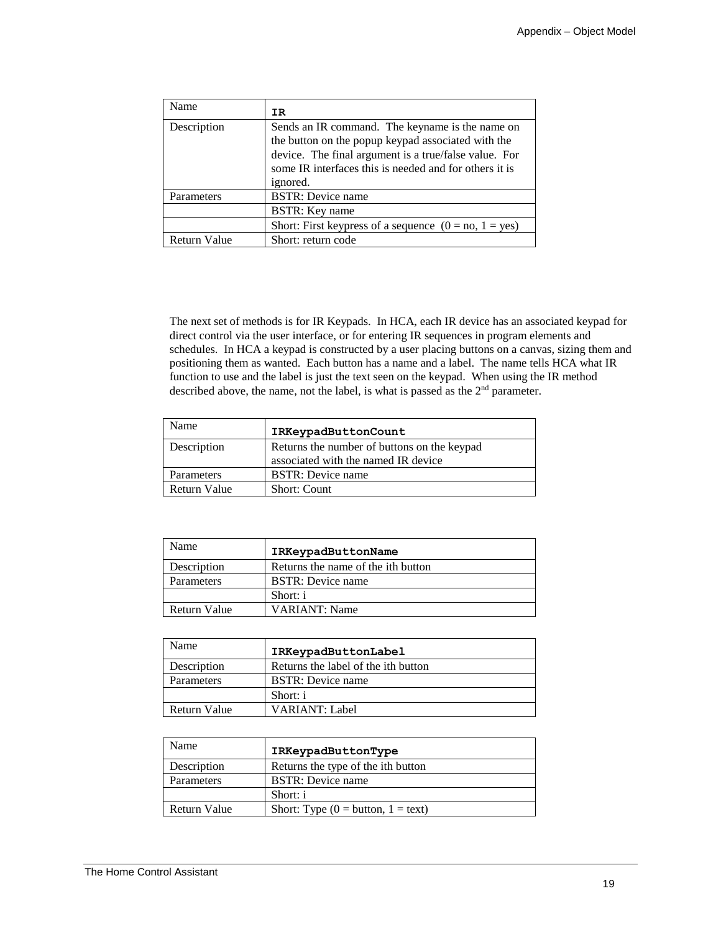| Name                | IR.                                                                                                                                                                                                                                  |
|---------------------|--------------------------------------------------------------------------------------------------------------------------------------------------------------------------------------------------------------------------------------|
| Description         | Sends an IR command. The keyname is the name on<br>the button on the popup keypad associated with the<br>device. The final argument is a true/false value. For<br>some IR interfaces this is needed and for others it is<br>ignored. |
| Parameters          | <b>BSTR:</b> Device name                                                                                                                                                                                                             |
|                     | <b>BSTR:</b> Key name                                                                                                                                                                                                                |
|                     | Short: First keypress of a sequence $(0 = no, 1 = yes)$                                                                                                                                                                              |
| <b>Return Value</b> | Short: return code                                                                                                                                                                                                                   |

The next set of methods is for IR Keypads. In HCA, each IR device has an associated keypad for direct control via the user interface, or for entering IR sequences in program elements and schedules. In HCA a keypad is constructed by a user placing buttons on a canvas, sizing them and positioning them as wanted. Each button has a name and a label. The name tells HCA what IR function to use and the label is just the text seen on the keypad. When using the IR method described above, the name, not the label, is what is passed as the  $2<sup>nd</sup>$  parameter.

| Name         | IRKeypadButtonCount                                                                |
|--------------|------------------------------------------------------------------------------------|
| Description  | Returns the number of buttons on the keypad<br>associated with the named IR device |
| Parameters   | <b>BSTR:</b> Device name                                                           |
| Return Value | <b>Short: Count</b>                                                                |

| Name         | IRKeypadButtonName                 |
|--------------|------------------------------------|
| Description  | Returns the name of the ith button |
| Parameters   | <b>BSTR:</b> Device name           |
|              | Short: i                           |
| Return Value | <b>VARIANT: Name</b>               |

| Name         | IRKeypadButtonLabel                 |
|--------------|-------------------------------------|
| Description  | Returns the label of the ith button |
| Parameters   | <b>BSTR:</b> Device name            |
|              | Short: i                            |
| Return Value | VARIANT: Label                      |

| Name              | IRKeypadButtonType                                 |
|-------------------|----------------------------------------------------|
| Description       | Returns the type of the ith button                 |
| <b>Parameters</b> | <b>BSTR:</b> Device name                           |
|                   | Short: i                                           |
| Return Value      | Short: Type $(0 = \text{button}, 1 = \text{text})$ |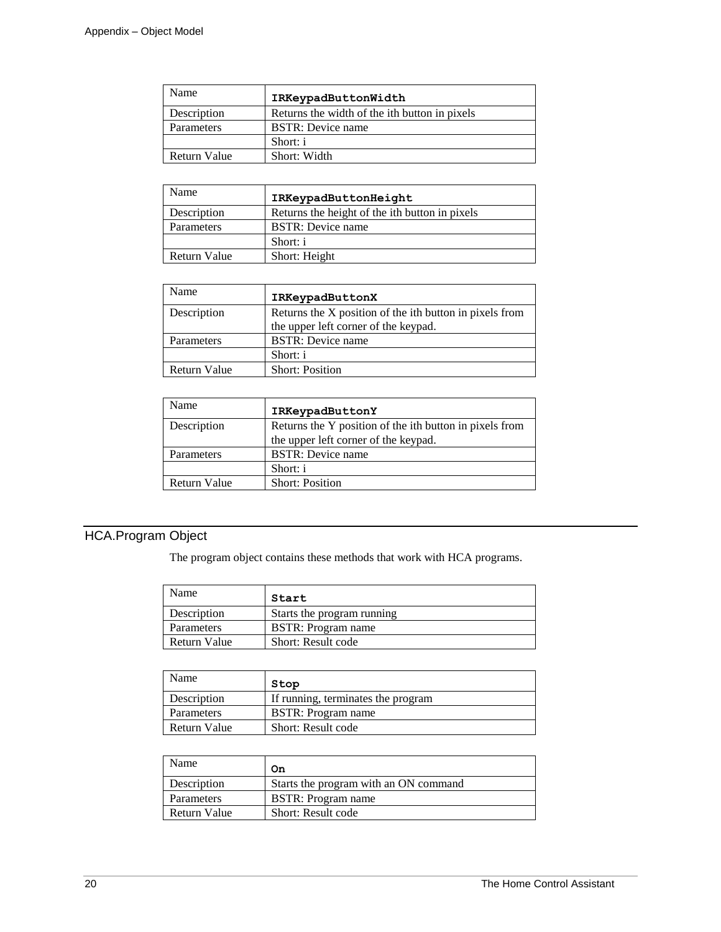| Name         | IRKeypadButtonWidth                           |
|--------------|-----------------------------------------------|
| Description  | Returns the width of the ith button in pixels |
| Parameters   | <b>BSTR:</b> Device name                      |
|              | Short: i                                      |
| Return Value | Short: Width                                  |

| Name         | IRKeypadButtonHeight                           |
|--------------|------------------------------------------------|
| Description  | Returns the height of the ith button in pixels |
| Parameters   | BSTR: Device name                              |
|              | Short: i                                       |
| Return Value | Short: Height                                  |

| Name         | IRKeypadButtonX                                         |
|--------------|---------------------------------------------------------|
| Description  | Returns the X position of the ith button in pixels from |
|              | the upper left corner of the keypad.                    |
| Parameters   | <b>BSTR:</b> Device name                                |
|              | Short: i                                                |
| Return Value | <b>Short: Position</b>                                  |

| Name         | IRKeypadButtonY                                         |
|--------------|---------------------------------------------------------|
| Description  | Returns the Y position of the ith button in pixels from |
|              | the upper left corner of the keypad.                    |
| Parameters   | <b>BSTR:</b> Device name                                |
|              | Short: i                                                |
| Return Value | <b>Short: Position</b>                                  |

# HCA.Program Object

The program object contains these methods that work with HCA programs.

| Name         | Start                      |
|--------------|----------------------------|
| Description  | Starts the program running |
| Parameters   | <b>BSTR</b> : Program name |
| Return Value | Short: Result code         |

| Name         | Stop                               |
|--------------|------------------------------------|
| Description  | If running, terminates the program |
| Parameters   | <b>BSTR</b> : Program name         |
| Return Value | Short: Result code                 |

| Name         | On                                    |
|--------------|---------------------------------------|
| Description  | Starts the program with an ON command |
| Parameters   | BSTR: Program name                    |
| Return Value | Short: Result code                    |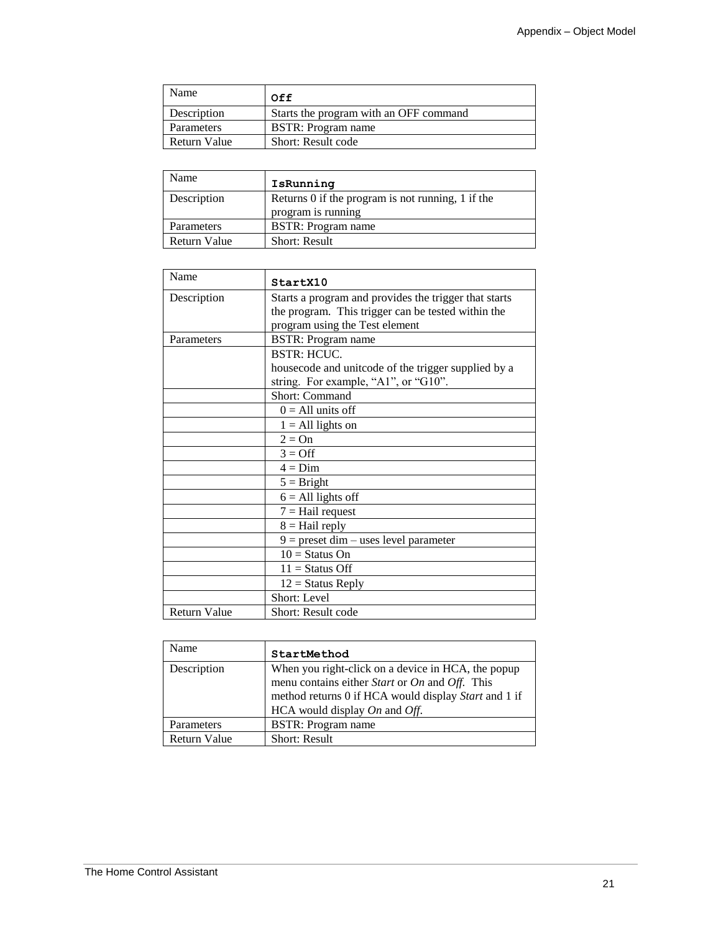| <b>Name</b>  | Off                                    |
|--------------|----------------------------------------|
| Description  | Starts the program with an OFF command |
| Parameters   | <b>BSTR: Program name</b>              |
| Return Value | <b>Short: Result code</b>              |

| Name         | IsRunning                                         |
|--------------|---------------------------------------------------|
| Description  | Returns 0 if the program is not running, 1 if the |
|              | program is running                                |
| Parameters   | BSTR: Program name                                |
| Return Value | <b>Short: Result</b>                              |

| Name                | StartX10                                                                                                                                      |
|---------------------|-----------------------------------------------------------------------------------------------------------------------------------------------|
| Description         | Starts a program and provides the trigger that starts<br>the program. This trigger can be tested within the<br>program using the Test element |
| Parameters          | <b>BSTR: Program name</b>                                                                                                                     |
|                     | BSTR: HCUC.                                                                                                                                   |
|                     | housecode and unitcode of the trigger supplied by a                                                                                           |
|                     | string. For example, "A1", or "G10".                                                                                                          |
|                     | Short: Command                                                                                                                                |
|                     | $0 = All units off$                                                                                                                           |
|                     | $1 = All lights on$                                                                                                                           |
|                     | $2 = On$                                                                                                                                      |
|                     | $3 = \text{Off}$                                                                                                                              |
|                     | $4 = Dim$                                                                                                                                     |
|                     | $5 =$ Bright                                                                                                                                  |
|                     | $6 = All lights off$                                                                                                                          |
|                     | $7 =$ Hail request                                                                                                                            |
|                     | $8 =$ Hail reply                                                                                                                              |
|                     | $9 =$ preset dim – uses level parameter                                                                                                       |
|                     | $10 =$ Status On                                                                                                                              |
|                     | $11 =$ Status Off                                                                                                                             |
|                     | $12 =$ Status Reply                                                                                                                           |
|                     | Short: Level                                                                                                                                  |
| <b>Return Value</b> | <b>Short: Result code</b>                                                                                                                     |

| Name         | StartMethod                                                                                                                                                                                        |
|--------------|----------------------------------------------------------------------------------------------------------------------------------------------------------------------------------------------------|
| Description  | When you right-click on a device in HCA, the popup<br>menu contains either Start or On and Off. This<br>method returns 0 if HCA would display Start and 1 if<br>HCA would display $On$ and $Off$ . |
| Parameters   | <b>BSTR:</b> Program name                                                                                                                                                                          |
| Return Value | <b>Short: Result</b>                                                                                                                                                                               |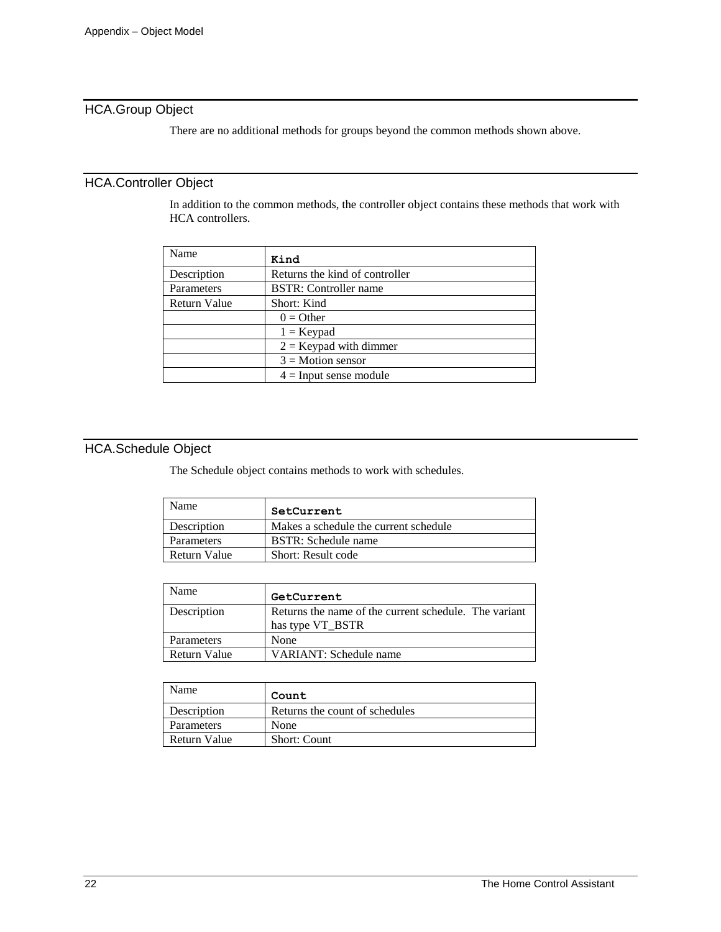## HCA.Group Object

There are no additional methods for groups beyond the common methods shown above.

### HCA.Controller Object

In addition to the common methods, the controller object contains these methods that work with HCA controllers.

| Name                | Kind                           |
|---------------------|--------------------------------|
| Description         | Returns the kind of controller |
| Parameters          | <b>BSTR:</b> Controller name   |
| <b>Return Value</b> | Short: Kind                    |
|                     | $0 =$ Other                    |
|                     | $1 =$ Keypad                   |
|                     | $2 =$ Keypad with dimmer       |
|                     | $3 = Motion$ sensor            |
|                     | $4 =$ Input sense module       |

## HCA.Schedule Object

The Schedule object contains methods to work with schedules.

| Name         | SetCurrent                            |
|--------------|---------------------------------------|
| Description  | Makes a schedule the current schedule |
| Parameters   | BSTR: Schedule name                   |
| Return Value | Short: Result code                    |

| Name         | GetCurrent                                                                |
|--------------|---------------------------------------------------------------------------|
| Description  | Returns the name of the current schedule. The variant<br>has type VT BSTR |
| Parameters   | None                                                                      |
| Return Value | VARIANT: Schedule name                                                    |

| Name         | Count                          |
|--------------|--------------------------------|
| Description  | Returns the count of schedules |
| Parameters   | None                           |
| Return Value | <b>Short: Count</b>            |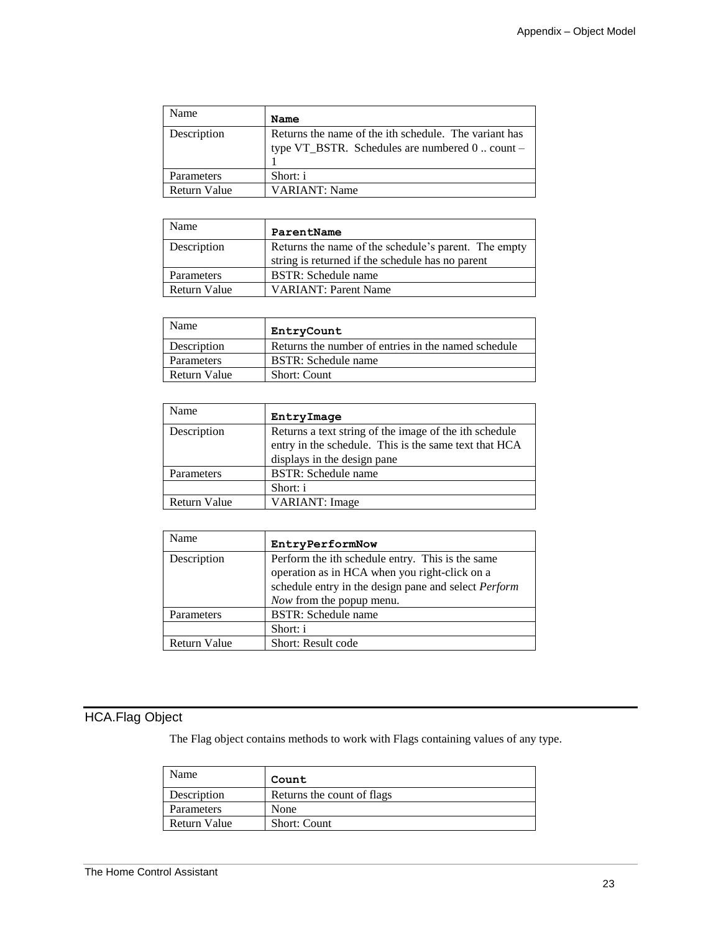| Name         | Name                                                                                                     |
|--------------|----------------------------------------------------------------------------------------------------------|
| Description  | Returns the name of the ith schedule. The variant has<br>type VT_BSTR. Schedules are numbered 0  count - |
| Parameters   | Short: i                                                                                                 |
| Return Value | VARIANT: Name                                                                                            |

| Name         | ParentName                                                                                               |
|--------------|----------------------------------------------------------------------------------------------------------|
| Description  | Returns the name of the schedule's parent. The empty<br>string is returned if the schedule has no parent |
| Parameters   | BSTR: Schedule name                                                                                      |
| Return Value | <b>VARIANT: Parent Name</b>                                                                              |

| Name         | EntryCount                                          |
|--------------|-----------------------------------------------------|
| Description  | Returns the number of entries in the named schedule |
| Parameters   | BSTR: Schedule name                                 |
| Return Value | <b>Short: Count</b>                                 |

| Name                | EntryImage                                                                                                                                     |
|---------------------|------------------------------------------------------------------------------------------------------------------------------------------------|
| Description         | Returns a text string of the image of the ith schedule<br>entry in the schedule. This is the same text that HCA<br>displays in the design pane |
| Parameters          | <b>BSTR:</b> Schedule name                                                                                                                     |
|                     | Short: i                                                                                                                                       |
| <b>Return Value</b> | VARIANT: Image                                                                                                                                 |

| Name         | EntryPerformNow                                      |
|--------------|------------------------------------------------------|
| Description  | Perform the ith schedule entry. This is the same     |
|              | operation as in HCA when you right-click on a        |
|              | schedule entry in the design pane and select Perform |
|              | Now from the popup menu.                             |
| Parameters   | <b>BSTR:</b> Schedule name                           |
|              | Short: i                                             |
| Return Value | Short: Result code                                   |

## HCA.Flag Object

The Flag object contains methods to work with Flags containing values of any type.

| Name         | Count                       |
|--------------|-----------------------------|
| Description  | Returns the count of flags. |
| Parameters   | None                        |
| Return Value | <b>Short: Count</b>         |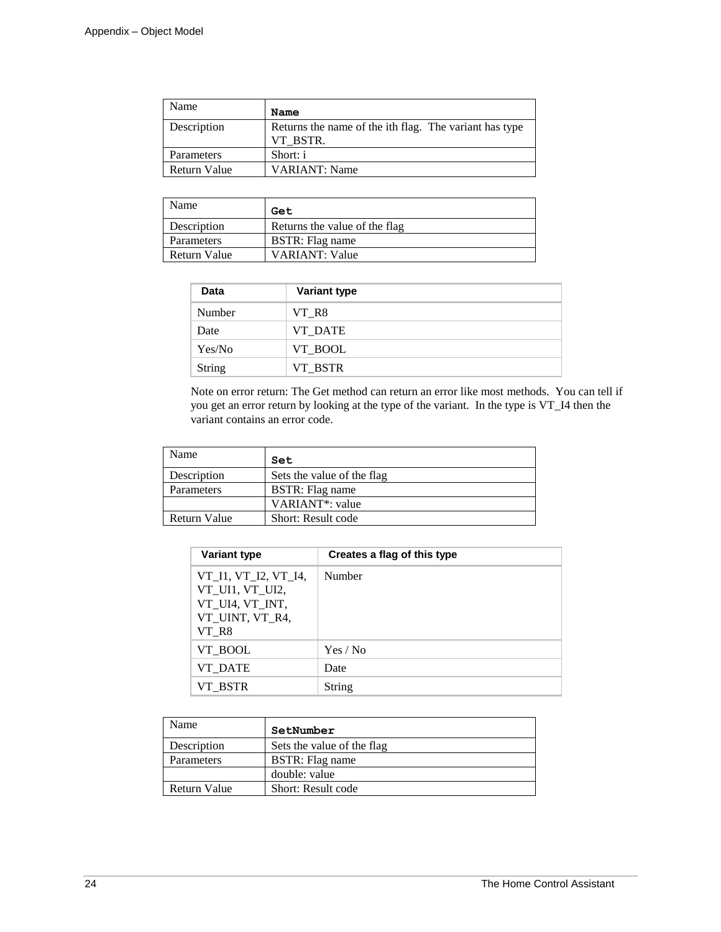| Name         | Name                                                               |
|--------------|--------------------------------------------------------------------|
| Description  | Returns the name of the ith flag. The variant has type<br>VT BSTR. |
| Parameters   | Short: i                                                           |
| Return Value | <b>VARIANT: Name</b>                                               |

| Name         | Get                           |
|--------------|-------------------------------|
| Description  | Returns the value of the flag |
| Parameters   | BSTR: Flag name               |
| Return Value | <b>VARIANT: Value</b>         |

| Data          | <b>Variant type</b> |  |
|---------------|---------------------|--|
| <b>Number</b> | VT R8               |  |
| Date          | VT DATE             |  |
| Yes/No        | VT_BOOL             |  |
| <b>String</b> | VT_BSTR             |  |

Note on error return: The Get method can return an error like most methods. You can tell if you get an error return by looking at the type of the variant. In the type is VT\_I4 then the variant contains an error code.

| Name         | Set                          |
|--------------|------------------------------|
| Description  | Sets the value of the flag   |
| Parameters   | BSTR: Flag name              |
|              | VARIANT <sup>*</sup> : value |
| Return Value | Short: Result code           |

| <b>Variant type</b>                                                                    | Creates a flag of this type |
|----------------------------------------------------------------------------------------|-----------------------------|
| VT_I1, VT_I2, VT_I4,<br>VT_UI1, VT_UI2,<br>VT UI4, VT INT,<br>VT UINT, VT R4,<br>VT R8 | Number                      |
| VT BOOL                                                                                | Yes / No                    |
| VT DATE                                                                                | Date                        |
| VT BSTR                                                                                | String                      |

| Name                | SetNumber                  |
|---------------------|----------------------------|
| Description         | Sets the value of the flag |
| Parameters          | BSTR: Flag name            |
|                     | double: value              |
| <b>Return Value</b> | Short: Result code         |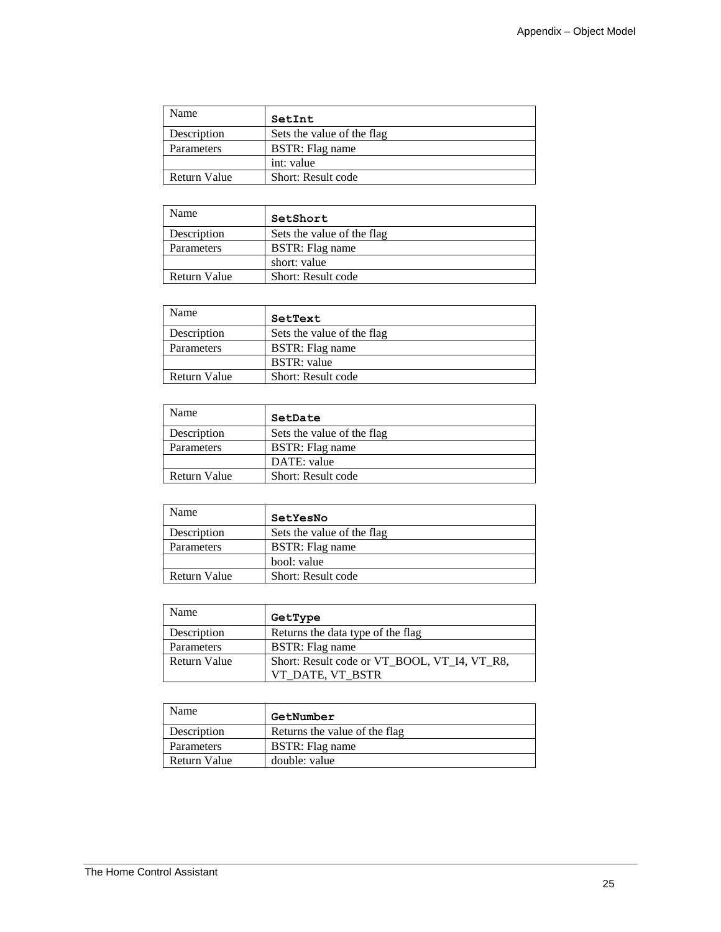| Name         | SetInt                     |
|--------------|----------------------------|
| Description  | Sets the value of the flag |
| Parameters   | BSTR: Flag name            |
|              | int: value                 |
| Return Value | Short: Result code         |

| Name         | SetShort                   |
|--------------|----------------------------|
| Description  | Sets the value of the flag |
| Parameters   | BSTR: Flag name            |
|              | short: value               |
| Return Value | Short: Result code         |

| Name                | SetText                    |
|---------------------|----------------------------|
| Description         | Sets the value of the flag |
| Parameters          | BSTR: Flag name            |
|                     | <b>BSTR</b> : value        |
| <b>Return Value</b> | Short: Result code         |

| Name         | SetDate                    |
|--------------|----------------------------|
| Description  | Sets the value of the flag |
| Parameters   | BSTR: Flag name            |
|              | DATE: value                |
| Return Value | Short: Result code         |

| Name                | SetYesNo                   |
|---------------------|----------------------------|
| Description         | Sets the value of the flag |
| Parameters          | BSTR: Flag name            |
|                     | bool: value                |
| <b>Return Value</b> | Short: Result code         |

| Name         | GetType                                      |
|--------------|----------------------------------------------|
| Description  | Returns the data type of the flag            |
| Parameters   | BSTR: Flag name                              |
| Return Value | Short: Result code or VT BOOL, VT I4, VT R8, |
|              | VT DATE, VT BSTR                             |

| Name               | GetNumber                     |
|--------------------|-------------------------------|
| <b>Description</b> | Returns the value of the flag |
| Parameters         | BSTR: Flag name               |
| Return Value       | double: value                 |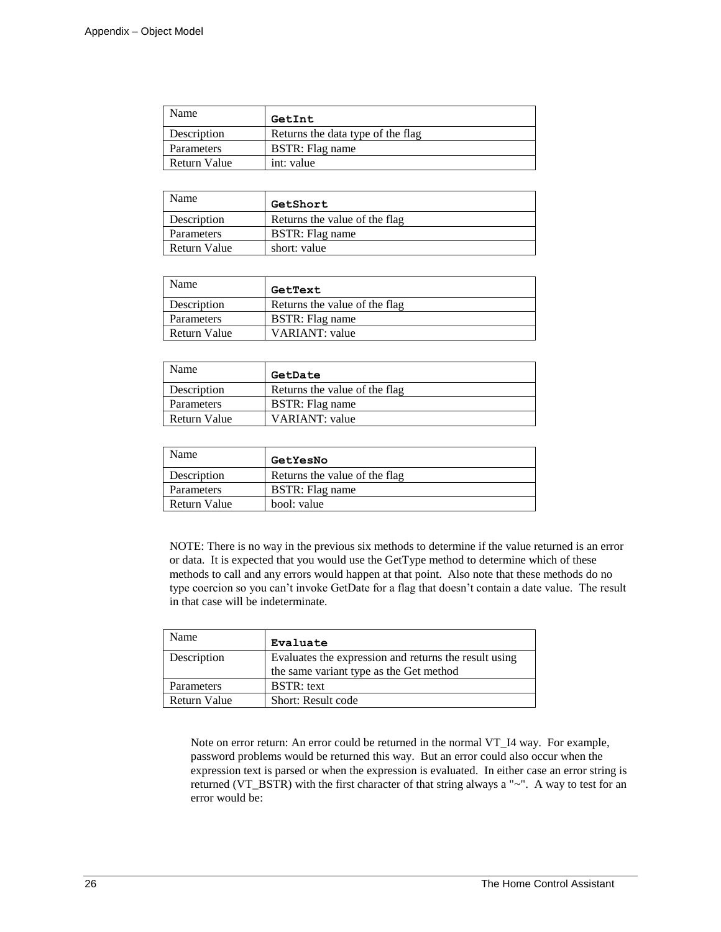| Name         | GetInt                            |
|--------------|-----------------------------------|
| Description  | Returns the data type of the flag |
| Parameters   | BSTR: Flag name                   |
| Return Value | int: value                        |

| Name         | GetShort                      |
|--------------|-------------------------------|
| Description  | Returns the value of the flag |
| Parameters   | BSTR: Flag name               |
| Return Value | short: value                  |

| Name         | GetText                       |
|--------------|-------------------------------|
| Description  | Returns the value of the flag |
| Parameters   | BSTR: Flag name               |
| Return Value | VARIANT: value                |

| Name         | GetDate                       |
|--------------|-------------------------------|
| Description  | Returns the value of the flag |
| Parameters   | BSTR: Flag name               |
| Return Value | VARIANT: value                |

| Name               | GetYesNo                      |
|--------------------|-------------------------------|
| <b>Description</b> | Returns the value of the flag |
| Parameters         | BSTR: Flag name               |
| Return Value       | bool: value                   |

NOTE: There is no way in the previous six methods to determine if the value returned is an error or data. It is expected that you would use the GetType method to determine which of these methods to call and any errors would happen at that point. Also note that these methods do no type coercion so you can't invoke GetDate for a flag that doesn't contain a date value. The result in that case will be indeterminate.

| Name         | Evaluate                                              |
|--------------|-------------------------------------------------------|
| Description  | Evaluates the expression and returns the result using |
|              | the same variant type as the Get method               |
| Parameters   | <b>BSTR</b> : text                                    |
| Return Value | Short: Result code                                    |

Note on error return: An error could be returned in the normal VT\_I4 way. For example, password problems would be returned this way. But an error could also occur when the expression text is parsed or when the expression is evaluated. In either case an error string is returned (VT\_BSTR) with the first character of that string always a "~". A way to test for an error would be: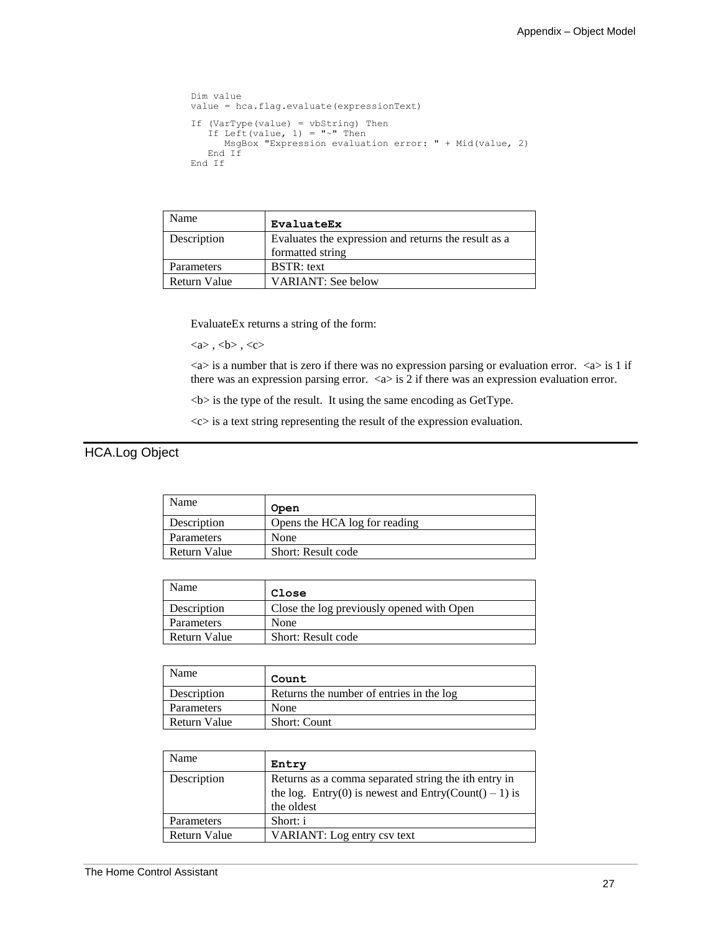```
Dim value
value = hca.flag.evaluate(expressionText)
If (VarType(value) = vbString) Then 
If Left(value, 1) = "\sim" Then
 MsgBox "Expression evaluation error: " + Mid(value, 2)
 End If
End If
```

| Name         | <b>EvaluateEx</b>                                                        |
|--------------|--------------------------------------------------------------------------|
| Description  | Evaluates the expression and returns the result as a<br>formatted string |
| Parameters   | <b>BSTR</b> : text                                                       |
| Return Value | <b>VARIANT: See below</b>                                                |

EvaluateEx returns a string of the form:

 $\langle a \rangle$ ,  $\langle b \rangle$ ,  $\langle c \rangle$ 

 $\langle a \rangle$  is a number that is zero if there was no expression parsing or evaluation error.  $\langle a \rangle$  is 1 if there was an expression parsing error.  $\langle a \rangle$  is 2 if there was an expression evaluation error.

 **is the type of the result. It using the same encoding as GetType.** 

 $<<$  is a text string representing the result of the expression evaluation.

## HCA.Log Object

| Name         | Open                          |
|--------------|-------------------------------|
| Description  | Opens the HCA log for reading |
| Parameters   | None                          |
| Return Value | Short: Result code            |

| Name         | Close                                     |
|--------------|-------------------------------------------|
| Description  | Close the log previously opened with Open |
| Parameters   | None                                      |
| Return Value | <b>Short: Result code</b>                 |

| Name         | Count                                    |
|--------------|------------------------------------------|
| Description  | Returns the number of entries in the log |
| Parameters   | None                                     |
| Return Value | <b>Short: Count</b>                      |

| Name         | Entry                                                                                                                       |
|--------------|-----------------------------------------------------------------------------------------------------------------------------|
| Description  | Returns as a comma separated string the ith entry in<br>the log. Entry(0) is newest and Entry(Count() – 1) is<br>the oldest |
| Parameters   | Short: i                                                                                                                    |
| Return Value | VARIANT: Log entry csv text                                                                                                 |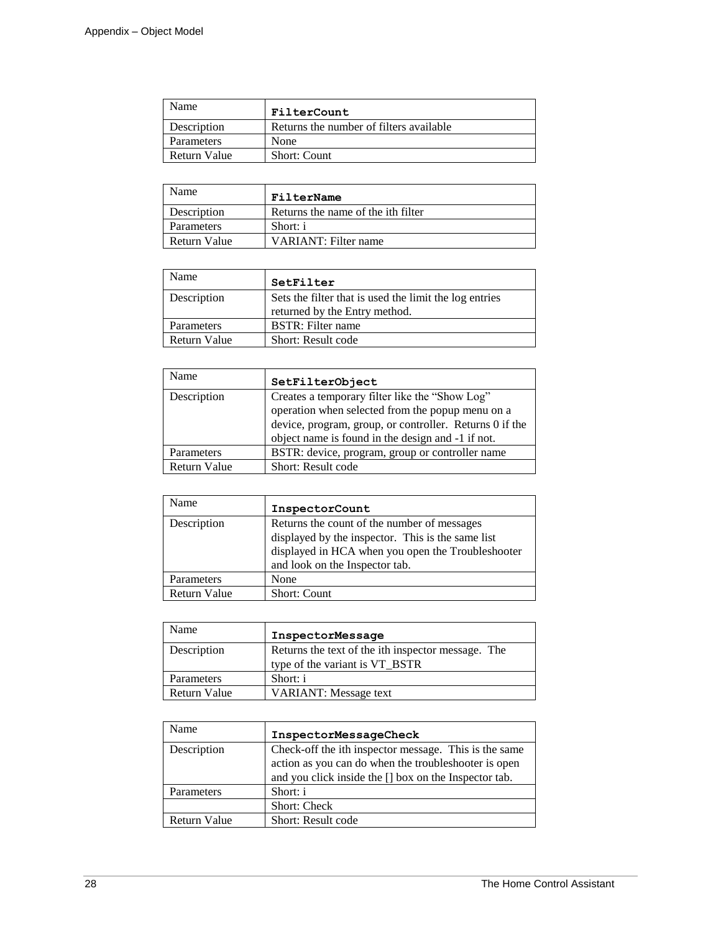| Name         | FilterCount                             |
|--------------|-----------------------------------------|
| Description  | Returns the number of filters available |
| Parameters   | None                                    |
| Return Value | <b>Short: Count</b>                     |

| Name         | FilterName                         |
|--------------|------------------------------------|
| Description  | Returns the name of the ith filter |
| Parameters   | Short: i                           |
| Return Value | VARIANT: Filter name               |

| Name         | SetFilter                                              |
|--------------|--------------------------------------------------------|
| Description  | Sets the filter that is used the limit the log entries |
|              | returned by the Entry method.                          |
| Parameters   | <b>BSTR:</b> Filter name                               |
| Return Value | Short: Result code                                     |

| Name         | SetFilterObject                                                                                                                                                                                                    |
|--------------|--------------------------------------------------------------------------------------------------------------------------------------------------------------------------------------------------------------------|
| Description  | Creates a temporary filter like the "Show Log"<br>operation when selected from the popup menu on a<br>device, program, group, or controller. Returns 0 if the<br>object name is found in the design and -1 if not. |
| Parameters   | BSTR: device, program, group or controller name                                                                                                                                                                    |
| Return Value | Short: Result code                                                                                                                                                                                                 |

| Name         | InspectorCount                                                                                                                                                                          |
|--------------|-----------------------------------------------------------------------------------------------------------------------------------------------------------------------------------------|
| Description  | Returns the count of the number of messages<br>displayed by the inspector. This is the same list<br>displayed in HCA when you open the Troubleshooter<br>and look on the Inspector tab. |
| Parameters   | None                                                                                                                                                                                    |
| Return Value | <b>Short: Count</b>                                                                                                                                                                     |

| Name                | InspectorMessage                                                                     |
|---------------------|--------------------------------------------------------------------------------------|
| Description         | Returns the text of the ith inspector message. The<br>type of the variant is VT_BSTR |
| Parameters          | Short: i                                                                             |
| <b>Return Value</b> | <b>VARIANT:</b> Message text                                                         |

| Name         | InspectorMessageCheck                                                                                                                                                  |
|--------------|------------------------------------------------------------------------------------------------------------------------------------------------------------------------|
| Description  | Check-off the ith inspector message. This is the same<br>action as you can do when the troubleshooter is open<br>and you click inside the [] box on the Inspector tab. |
| Parameters   | Short: i                                                                                                                                                               |
|              | <b>Short: Check</b>                                                                                                                                                    |
| Return Value | Short: Result code                                                                                                                                                     |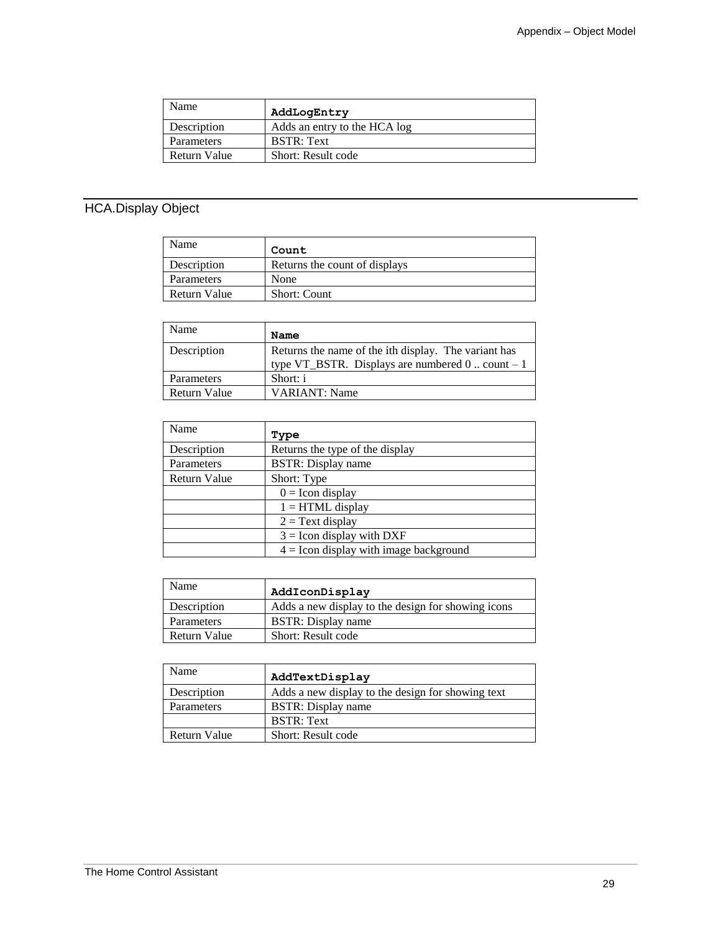| Name         | AddLogEntry                  |
|--------------|------------------------------|
| Description  | Adds an entry to the HCA log |
| Parameters   | <b>BSTR: Text</b>            |
| Return Value | Short: Result code           |

## HCA.Display Object

| Name         | Count                         |
|--------------|-------------------------------|
| Description  | Returns the count of displays |
| Parameters   | None                          |
| Return Value | <b>Short: Count</b>           |

| Name         | Name                                                                                                       |
|--------------|------------------------------------------------------------------------------------------------------------|
| Description  | Returns the name of the ith display. The variant has<br>type VT_BSTR. Displays are numbered $0$ count $-1$ |
| Parameters   | Short: i                                                                                                   |
| Return Value | <b>VARIANT: Name</b>                                                                                       |

| Name         | Type                                     |
|--------------|------------------------------------------|
| Description  | Returns the type of the display          |
| Parameters   | <b>BSTR:</b> Display name                |
| Return Value | Short: Type                              |
|              | $0 =$ Icon display                       |
|              | $1 = HTML$ display                       |
|              | $2 =$ Text display                       |
|              | $3 =$ Icon display with DXF              |
|              | $4 =$ Icon display with image background |

| Name         | AddIconDisplay                                     |
|--------------|----------------------------------------------------|
| Description  | Adds a new display to the design for showing icons |
| Parameters   | <b>BSTR</b> : Display name                         |
| Return Value | Short: Result code                                 |

| Name         | AddTextDisplay                                    |
|--------------|---------------------------------------------------|
| Description  | Adds a new display to the design for showing text |
| Parameters   | <b>BSTR</b> : Display name                        |
|              | <b>BSTR: Text</b>                                 |
| Return Value | Short: Result code                                |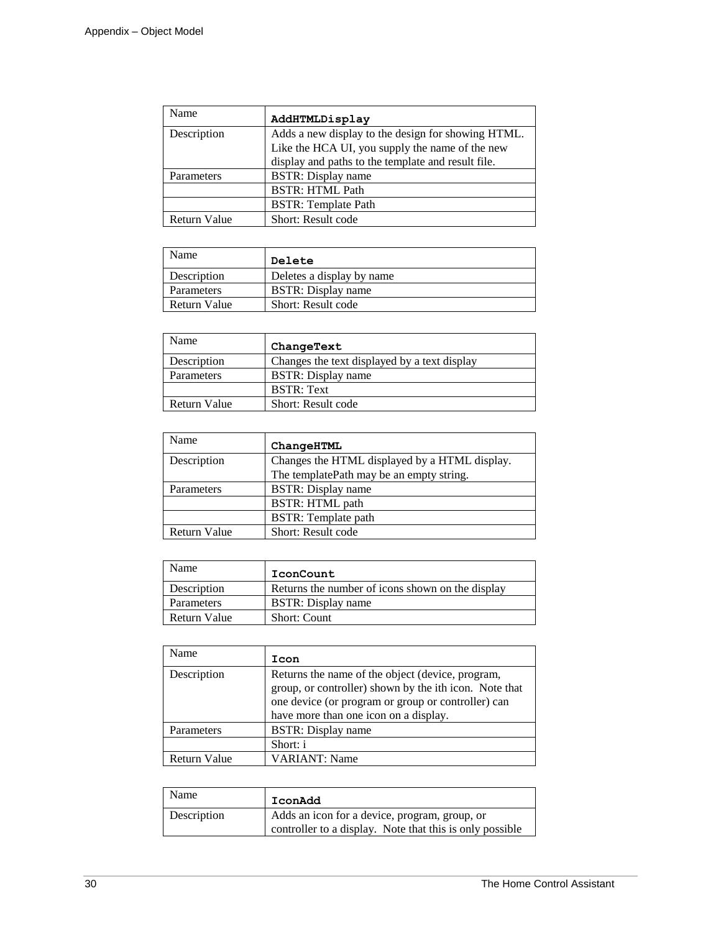| Name         | AddHTMLDisplay                                     |
|--------------|----------------------------------------------------|
| Description  | Adds a new display to the design for showing HTML. |
|              | Like the HCA UI, you supply the name of the new    |
|              | display and paths to the template and result file. |
| Parameters   | <b>BSTR:</b> Display name                          |
|              | <b>BSTR: HTML Path</b>                             |
|              | <b>BSTR:</b> Template Path                         |
| Return Value | Short: Result code                                 |

| Name         | Delete                     |
|--------------|----------------------------|
| Description  | Deletes a display by name  |
| Parameters   | <b>BSTR</b> : Display name |
| Return Value | Short: Result code         |

| Name         | ChangeText                                   |
|--------------|----------------------------------------------|
| Description  | Changes the text displayed by a text display |
| Parameters   | BSTR: Display name                           |
|              | <b>BSTR: Text</b>                            |
| Return Value | Short: Result code                           |

| Name                | ChangeHTML                                    |
|---------------------|-----------------------------------------------|
| Description         | Changes the HTML displayed by a HTML display. |
|                     | The templatePath may be an empty string.      |
| Parameters          | <b>BSTR:</b> Display name                     |
|                     | <b>BSTR: HTML path</b>                        |
|                     | <b>BSTR:</b> Template path                    |
| <b>Return Value</b> | Short: Result code                            |

| Name         | IconCount                                        |
|--------------|--------------------------------------------------|
| Description  | Returns the number of icons shown on the display |
| Parameters   | BSTR: Display name                               |
| Return Value | <b>Short: Count</b>                              |

| Name         | Icon                                                                                                                                                                                                      |
|--------------|-----------------------------------------------------------------------------------------------------------------------------------------------------------------------------------------------------------|
| Description  | Returns the name of the object (device, program,<br>group, or controller) shown by the ith icon. Note that<br>one device (or program or group or controller) can<br>have more than one icon on a display. |
| Parameters   | <b>BSTR:</b> Display name                                                                                                                                                                                 |
|              | Short: i                                                                                                                                                                                                  |
| Return Value | <b>VARIANT: Name</b>                                                                                                                                                                                      |

| Name        | IconAdd                                                  |
|-------------|----------------------------------------------------------|
| Description | Adds an icon for a device, program, group, or            |
|             | controller to a display. Note that this is only possible |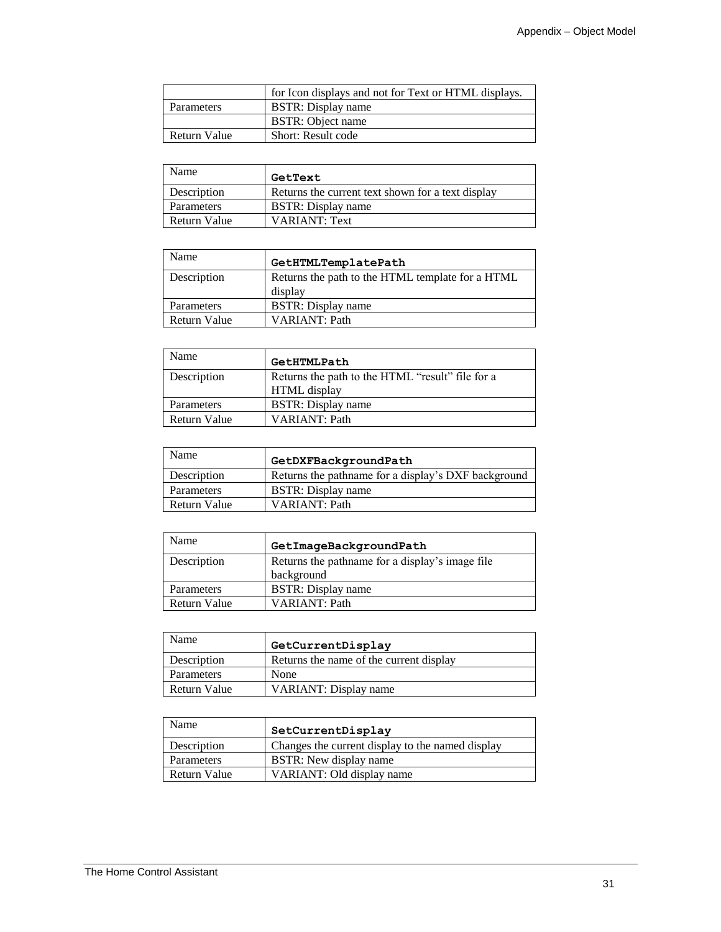|                   | for Icon displays and not for Text or HTML displays. |
|-------------------|------------------------------------------------------|
| <b>Parameters</b> | BSTR: Display name                                   |
|                   | BSTR: Object name                                    |
| Return Value      | Short: Result code                                   |

| Name         | GetText                                           |
|--------------|---------------------------------------------------|
| Description  | Returns the current text shown for a text display |
| Parameters   | <b>BSTR</b> : Display name                        |
| Return Value | <b>VARIANT: Text</b>                              |

| Name         | GetHTMLTemplatePath                              |
|--------------|--------------------------------------------------|
| Description  | Returns the path to the HTML template for a HTML |
|              | display                                          |
| Parameters   | <b>BSTR:</b> Display name                        |
| Return Value | <b>VARIANT: Path</b>                             |

| Name                | GetHTMLPath                                      |
|---------------------|--------------------------------------------------|
| Description         | Returns the path to the HTML "result" file for a |
|                     | HTML display                                     |
| Parameters          | <b>BSTR</b> : Display name                       |
| <b>Return Value</b> | <b>VARIANT: Path</b>                             |

| Name         | GetDXFBackgroundPath                                |
|--------------|-----------------------------------------------------|
| Description  | Returns the pathname for a display's DXF background |
| Parameters   | BSTR: Display name                                  |
| Return Value | VARIANT: Path                                       |

| Name                | GetImageBackgroundPath                          |
|---------------------|-------------------------------------------------|
| Description         | Returns the pathname for a display's image file |
|                     | background                                      |
| Parameters          | <b>BSTR:</b> Display name                       |
| <b>Return Value</b> | VARIANT: Path                                   |

| Name         | GetCurrentDisplay                       |
|--------------|-----------------------------------------|
| Description  | Returns the name of the current display |
| Parameters   | None                                    |
| Return Value | <b>VARIANT: Display name</b>            |

| Name         | SetCurrentDisplay                                |
|--------------|--------------------------------------------------|
| Description  | Changes the current display to the named display |
| Parameters   | <b>BSTR:</b> New display name                    |
| Return Value | VARIANT: Old display name                        |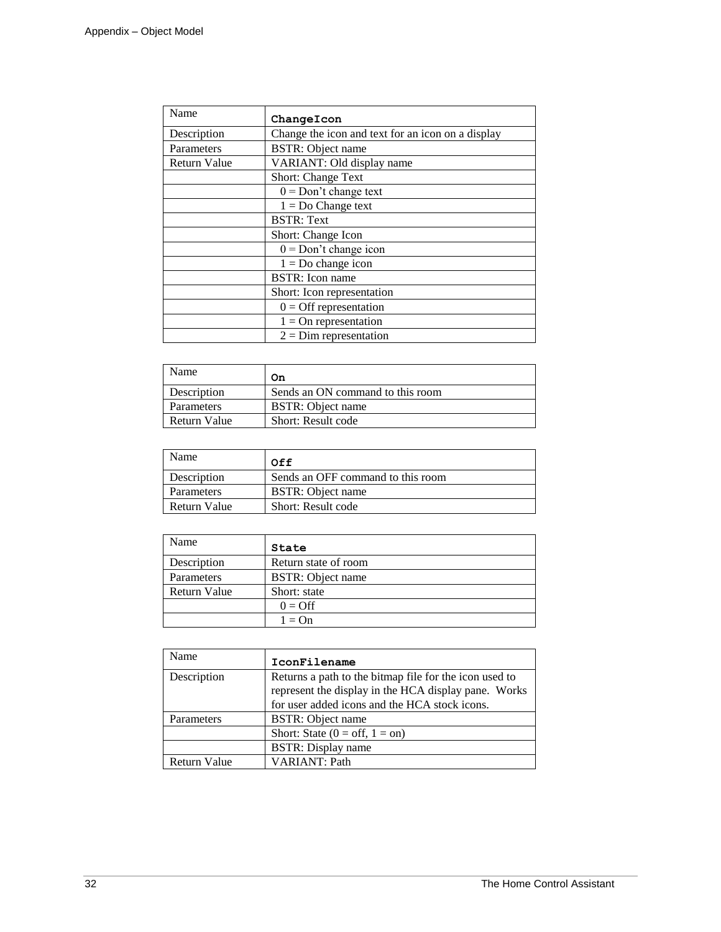| Name         | ChangeIcon                                        |
|--------------|---------------------------------------------------|
| Description  | Change the icon and text for an icon on a display |
| Parameters   | <b>BSTR:</b> Object name                          |
| Return Value | VARIANT: Old display name                         |
|              | <b>Short: Change Text</b>                         |
|              | $0 = Don't change text$                           |
|              | $1 = Do Change text$                              |
|              | <b>BSTR: Text</b>                                 |
|              | Short: Change Icon                                |
|              | $0 = Don't change icon$                           |
|              | $1 = Do$ change icon                              |
|              | <b>BSTR:</b> Icon name                            |
|              | Short: Icon representation                        |
|              | $0 =$ Off representation                          |
|              | $1 =$ On representation                           |
|              | $2 = Dim$ representation                          |

| Name         | On                               |
|--------------|----------------------------------|
| Description  | Sends an ON command to this room |
| Parameters   | <b>BSTR:</b> Object name         |
| Return Value | Short: Result code               |

| Name         | 0ff                               |
|--------------|-----------------------------------|
| Description  | Sends an OFF command to this room |
| Parameters   | <b>BSTR:</b> Object name          |
| Return Value | Short: Result code                |

| Name         | State                    |
|--------------|--------------------------|
| Description  | Return state of room     |
| Parameters   | <b>BSTR:</b> Object name |
| Return Value | Short: state             |
|              | $0 = \text{Off}$         |
|              | $1 = \Omega n$           |

| Name                | IconFilename                                                                                                                                                    |
|---------------------|-----------------------------------------------------------------------------------------------------------------------------------------------------------------|
| Description         | Returns a path to the bitmap file for the icon used to<br>represent the display in the HCA display pane. Works<br>for user added icons and the HCA stock icons. |
| Parameters          | <b>BSTR:</b> Object name                                                                                                                                        |
|                     | Short: State $(0 = \text{off}, 1 = \text{on})$                                                                                                                  |
|                     | <b>BSTR:</b> Display name                                                                                                                                       |
| <b>Return Value</b> | <b>VARIANT: Path</b>                                                                                                                                            |